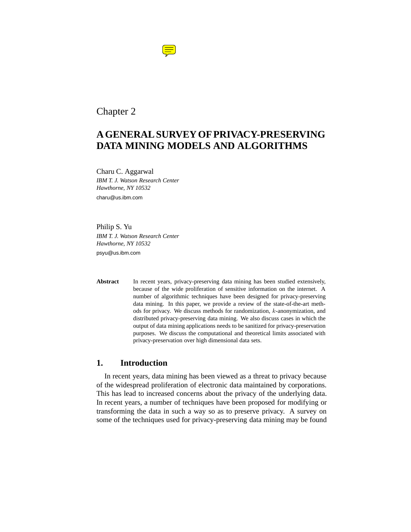# Chapter 2

# **A GENERAL SURVEY OF PRIVACY-PRESERVING DATA MINING MODELS AND ALGORITHMS**

Charu C. Aggarwal *IBM T. J. Watson Research Center Hawthorne, NY 10532* charu@us.ibm.com

Philip S. Yu *IBM T. J. Watson Research Center Hawthorne, NY 10532*

psyu@us.ibm.com

**Abstract** In recent years, privacy-preserving data mining has been studied extensively, because of the wide proliferation of sensitive information on the internet. A number of algorithmic techniques have been designed for privacy-preserving data mining. In this paper, we provide a review of the state-of-the-art methods for privacy. We discuss methods for randomization, k-anonymization, and distributed privacy-preserving data mining. We also discuss cases in which the output of data mining applications needs to be sanitized for privacy-preservation purposes. We discuss the computational and theoretical limits associated with privacy-preservation over high dimensional data sets.

### **1. Introduction**

In recent years, data mining has been viewed as a threat to privacy because of the widespread proliferation of electronic data maintained by corporations. This has lead to increased concerns about the privacy of the underlying data. In recent years, a number of techniques have been proposed for modifying or transforming the data in such a way so as to preserve privacy. A survey on some of the techniques used for privacy-preserving data mining may be found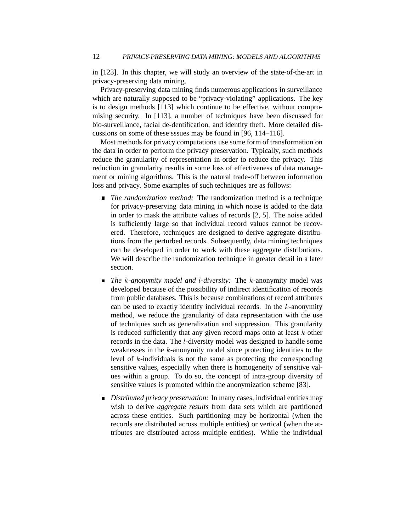in [123]. In this chapter, we will study an overview of the state-of-the-art in privacy-preserving data mining.

Privacy-preserving data mining finds numerous applications in surveillance which are naturally supposed to be "privacy-violating" applications. The key is to design methods [113] which continue to be effective, without compromising security. In [113], a number of techniques have been discussed for bio-surveillance, facial de-dentification, and identity theft. More detailed discussions on some of these sssues may be found in [96, 114–116].

Most methods for privacy computations use some form of transformation on the data in order to perform the privacy preservation. Typically, such methods reduce the granularity of representation in order to reduce the privacy. This reduction in granularity results in some loss of effectiveness of data management or mining algorithms. This is the natural trade-off between information loss and privacy. Some examples of such techniques are as follows:

- *The randomization method:* The randomization method is a technique for privacy-preserving data mining in which noise is added to the data in order to mask the attribute values of records [2, 5]. The noise added is sufficiently large so that individual record values cannot be recovered. Therefore, techniques are designed to derive aggregate distributions from the perturbed records. Subsequently, data mining techniques can be developed in order to work with these aggregate distributions. We will describe the randomization technique in greater detail in a later section.
- *The k-anonymity model and l-diversity:* The *k*-anonymity model was developed because of the possibility of indirect identification of records from public databases. This is because combinations of record attributes can be used to exactly identify individual records. In the  $k$ -anonymity method, we reduce the granularity of data representation with the use of techniques such as generalization and suppression. This granularity is reduced sufficiently that any given record maps onto at least  $k$  other records in the data. The l-diversity model was designed to handle some weaknesses in the k-anonymity model since protecting identities to the level of  $k$ -individuals is not the same as protecting the corresponding sensitive values, especially when there is homogeneity of sensitive values within a group. To do so, the concept of intra-group diversity of sensitive values is promoted within the anonymization scheme [83].
- $\blacksquare$ *Distributed privacy preservation:* In many cases, individual entities may wish to derive *aggregate results* from data sets which are partitioned across these entities. Such partitioning may be horizontal (when the records are distributed across multiple entities) or vertical (when the attributes are distributed across multiple entities). While the individual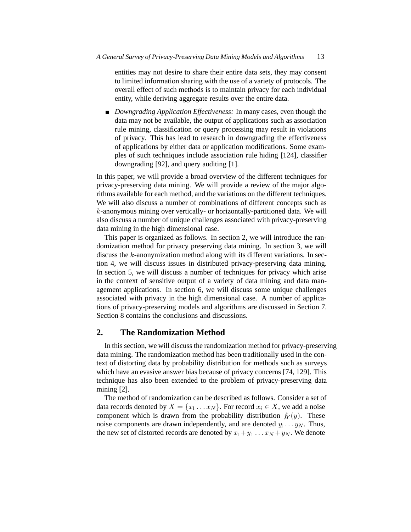entities may not desire to share their entire data sets, they may consent to limited information sharing with the use of a variety of protocols. The overall effect of such methods is to maintain privacy for each individual entity, while deriving aggregate results over the entire data.

■ *Downgrading Application Effectiveness:* In many cases, even though the data may not be available, the output of applications such as association rule mining, classification or query processing may result in violations of privacy. This has lead to research in downgrading the effectiveness of applications by either data or application modifications. Some examples of such techniques include association rule hiding [124], classifier downgrading [92], and query auditing [1].

In this paper, we will provide a broad overview of the different techniques for privacy-preserving data mining. We will provide a review of the major algorithms available for each method, and the variations on the different techniques. We will also discuss a number of combinations of different concepts such as k-anonymous mining over vertically- or horizontally-partitioned data. We will also discuss a number of unique challenges associated with privacy-preserving data mining in the high dimensional case.

This paper is organized as follows. In section 2, we will introduce the randomization method for privacy preserving data mining. In section 3, we will discuss the k-anonymization method along with its different variations. In section 4, we will discuss issues in distributed privacy-preserving data mining. In section 5, we will discuss a number of techniques for privacy which arise in the context of sensitive output of a variety of data mining and data management applications. In section 6, we will discuss some unique challenges associated with privacy in the high dimensional case. A number of applications of privacy-preserving models and algorithms are discussed in Section 7. Section 8 contains the conclusions and discussions.

### **2. The Randomization Method**

In this section, we will discuss the randomization method for privacy-preserving data mining. The randomization method has been traditionally used in the context of distorting data by probability distribution for methods such as surveys which have an evasive answer bias because of privacy concerns [74, 129]. This technique has also been extended to the problem of privacy-preserving data mining [2].

The method of randomization can be described as follows. Consider a set of data records denoted by  $X = \{x_1 \dots x_N\}$ . For record  $x_i \in X$ , we add a noise component which is drawn from the probability distribution  $f_Y(y)$ . These noise components are drawn independently, and are denoted  $y_1 \ldots y_N$ . Thus, the new set of distorted records are denoted by  $x_1 + y_1 \ldots x_N + y_N$ . We denote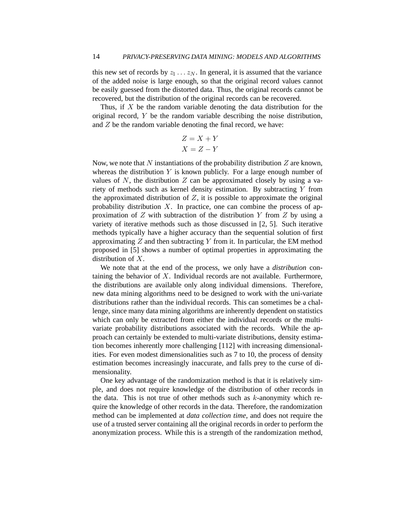this new set of records by  $z_1 \ldots z_N$ . In general, it is assumed that the variance of the added noise is large enough, so that the original record values cannot be easily guessed from the distorted data. Thus, the original records cannot be recovered, but the distribution of the original records can be recovered.

Thus, if  $X$  be the random variable denoting the data distribution for the original record, Y be the random variable describing the noise distribution, and  $Z$  be the random variable denoting the final record, we have:

$$
Z = X + Y
$$

$$
X = Z - Y
$$

Now, we note that N instantiations of the probability distribution  $Z$  are known, whereas the distribution  $Y$  is known publicly. For a large enough number of values of  $N$ , the distribution  $Z$  can be approximated closely by using a variety of methods such as kernel density estimation. By subtracting Y from the approximated distribution of  $Z$ , it is possible to approximate the original probability distribution  $X$ . In practice, one can combine the process of approximation of  $Z$  with subtraction of the distribution  $Y$  from  $Z$  by using a variety of iterative methods such as those discussed in [2, 5]. Such iterative methods typically have a higher accuracy than the sequential solution of first approximating  $Z$  and then subtracting  $Y$  from it. In particular, the EM method proposed in [5] shows a number of optimal properties in approximating the distribution of X.

We note that at the end of the process, we only have a *distribution* containing the behavior of  $X$ . Individual records are not available. Furthermore, the distributions are available only along individual dimensions. Therefore, new data mining algorithms need to be designed to work with the uni-variate distributions rather than the individual records. This can sometimes be a challenge, since many data mining algorithms are inherently dependent on statistics which can only be extracted from either the individual records or the multivariate probability distributions associated with the records. While the approach can certainly be extended to multi-variate distributions, density estimation becomes inherently more challenging [112] with increasing dimensionalities. For even modest dimensionalities such as 7 to 10, the process of density estimation becomes increasingly inaccurate, and falls prey to the curse of dimensionality.

One key advantage of the randomization method is that it is relatively simple, and does not require knowledge of the distribution of other records in the data. This is not true of other methods such as  $k$ -anonymity which require the knowledge of other records in the data. Therefore, the randomization method can be implemented at *data collection time*, and does not require the use of a trusted server containing all the original records in order to perform the anonymization process. While this is a strength of the randomization method,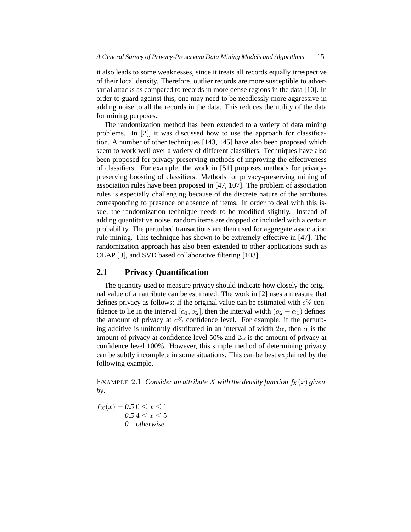it also leads to some weaknesses, since it treats all records equally irrespective of their local density. Therefore, outlier records are more susceptible to adversarial attacks as compared to records in more dense regions in the data [10]. In order to guard against this, one may need to be needlessly more aggressive in adding noise to all the records in the data. This reduces the utility of the data for mining purposes.

The randomization method has been extended to a variety of data mining problems. In [2], it was discussed how to use the approach for classification. A number of other techniques [143, 145] have also been proposed which seem to work well over a variety of different classifiers. Techniques have also been proposed for privacy-preserving methods of improving the effectiveness of classifiers. For example, the work in [51] proposes methods for privacypreserving boosting of classifiers. Methods for privacy-preserving mining of association rules have been proposed in [47, 107]. The problem of association rules is especially challenging because of the discrete nature of the attributes corresponding to presence or absence of items. In order to deal with this issue, the randomization technique needs to be modified slightly. Instead of adding quantitative noise, random items are dropped or included with a certain probability. The perturbed transactions are then used for aggregate association rule mining. This technique has shown to be extremely effective in [47]. The randomization approach has also been extended to other applications such as OLAP [3], and SVD based collaborative filtering [103].

### **2.1 Privacy Quantification**

The quantity used to measure privacy should indicate how closely the original value of an attribute can be estimated. The work in [2] uses a measure that defines privacy as follows: If the original value can be estimated with  $c\%$  confidence to lie in the interval  $[\alpha_1, \alpha_2]$ , then the interval width  $(\alpha_2 - \alpha_1)$  defines the amount of privacy at  $c\%$  confidence level. For example, if the perturbing additive is uniformly distributed in an interval of width  $2\alpha$ , then  $\alpha$  is the amount of privacy at confidence level 50% and  $2\alpha$  is the amount of privacy at confidence level 100%. However, this simple method of determining privacy can be subtly incomplete in some situations. This can be best explained by the following example.

EXAMPLE 2.1 *Consider an attribute X with the density function*  $f_X(x)$  *given by:*

 $f_X(x) = 0.5$  0  $\leq x \leq 1$  $0.54 \leq x \leq 5$ *0 otherwise*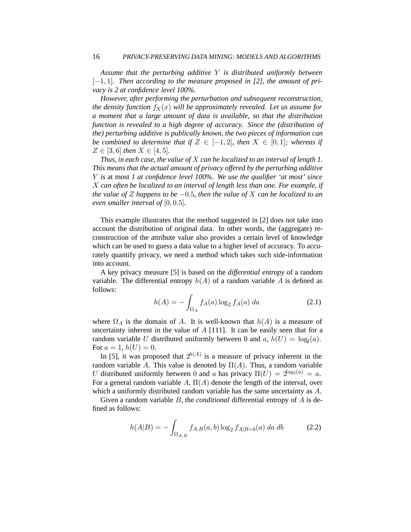*Assume that the perturbing additive* Y *is distributed uniformly between* [−1, 1]*. Then according to the measure proposed in [2], the amount of privacy is 2 at confidence level 100%.*

*However, after performing the perturbation and subsequent reconstruction, the density function*  $f_X(x)$  *will be approximately revealed. Let us assume for a moment that a large amount of data is available, so that the distribution function is revealed to a high degree of accuracy. Since the (distribution of the) perturbing additive is publically known, the two pieces of information can be combined to determine that if*  $Z \in [-1,2]$ *, then*  $X \in [0,1]$ *; whereas if*  $Z \in [3, 6]$  *then*  $X \in [4, 5]$ *.* 

*Thus, in each case, the value of* X *can be localized to an interval of length 1. This means that the actual amount of privacy offered by the perturbing additive* Y *is* at most *1 at confidence level 100%. We use the qualifier 'at most' since* X *can often be localized to an interval of length less than one. For example, if the value of* Z *happens to be* −0.5*, then the value of* X *can be localized to an even smaller interval of* [0, 0.5]*.*

This example illustrates that the method suggested in [2] does not take into account the distribution of original data. In other words, the (aggregate) reconstruction of the attribute value also provides a certain level of knowledge which can be used to guess a data value to a higher level of accuracy. To accurately quantify privacy, we need a method which takes such side-information into account.

A key privacy measure [5] is based on the *differential entropy* of a random variable. The differential entropy  $h(A)$  of a random variable A is defined as follows:

$$
h(A) = -\int_{\Omega_A} f_A(a) \log_2 f_A(a) \, da \tag{2.1}
$$

where  $\Omega_A$  is the domain of A. It is well-known that  $h(A)$  is a measure of uncertainty inherent in the value of  $A$  [111]. It can be easily seen that for a random variable U distributed uniformly between 0 and a,  $h(U) = \log_2(a)$ . For  $a = 1$ ,  $h(U) = 0$ .

In [5], it was proposed that  $2^{h(A)}$  is a measure of privacy inherent in the random variable A. This value is denoted by  $\Pi(A)$ . Thus, a random variable U distributed uniformly between 0 and a has privacy  $\Pi(U)=2^{log_2(a)} = a$ . For a general random variable A,  $\Pi(A)$  denote the length of the interval, over which a uniformly distributed random variable has the same uncertainty as A.

Given a random variable B, the *conditional* differential entropy of A is defined as follows:

$$
h(A|B) = -\int_{\Omega_{A,B}} f_{A,B}(a,b) \log_2 f_{A|B=b}(a) \, da \, db \tag{2.2}
$$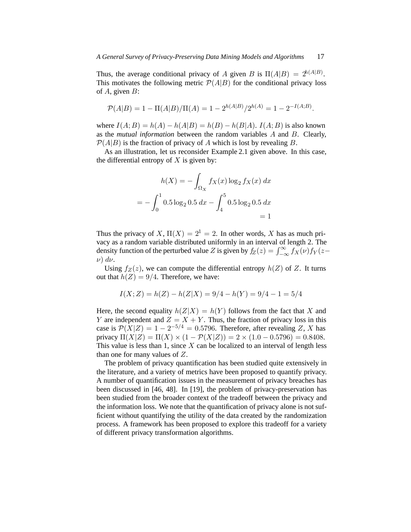Thus, the average conditional privacy of A given B is  $\Pi(A|B) = 2^{h(A|B)}$ . This motivates the following metric  $P(A|B)$  for the conditional privacy loss of  $A$ , given  $B$ :

$$
\mathcal{P}(A|B) = 1 - \Pi(A|B)/\Pi(A) = 1 - 2^{h(A|B)}/2^{h(A)} = 1 - 2^{-I(A;B)}.
$$

where  $I(A; B) = h(A) - h(A|B) = h(B) - h(B|A)$ .  $I(A; B)$  is also known as the *mutual information* between the random variables A and B. Clearly,  $P(A|B)$  is the fraction of privacy of A which is lost by revealing B.

As an illustration, let us reconsider Example 2.1 given above. In this case, the differential entropy of  $X$  is given by:

$$
h(X) = -\int_{\Omega_X} f_X(x) \log_2 f_X(x) dx
$$

$$
= -\int_0^1 0.5 \log_2 0.5 dx - \int_4^5 0.5 \log_2 0.5 dx
$$

$$
= 1
$$

Thus the privacy of X,  $\Pi(X)=2^1=2$ . In other words, X has as much privacy as a random variable distributed uniformly in an interval of length 2. The density function of the perturbed value Z is given by  $f_Z(z) = \int_{-\infty}^{\infty} f_X(v) f_Y(z \nu$ )  $d\nu$ .

Using  $f_Z(z)$ , we can compute the differential entropy  $h(Z)$  of Z. It turns out that  $h(Z)=9/4$ . Therefore, we have:

$$
I(X; Z) = h(Z) - h(Z|X) = 9/4 - h(Y) = 9/4 - 1 = 5/4
$$

Here, the second equality  $h(Z|X) = h(Y)$  follows from the fact that X and Y are independent and  $Z = X + Y$ . Thus, the fraction of privacy loss in this case is  $P(X|Z) = 1 - 2^{-5/4} = 0.5796$ . Therefore, after revealing Z, X has privacy  $\Pi(X|Z) = \Pi(X) \times (1 - \mathcal{P}(X|Z)) = 2 \times (1.0 - 0.5796) = 0.8408$ . This value is less than 1, since  $X$  can be localized to an interval of length less than one for many values of Z.

The problem of privacy quantification has been studied quite extensively in the literature, and a variety of metrics have been proposed to quantify privacy. A number of quantification issues in the measurement of privacy breaches has been discussed in [46, 48]. In [19], the problem of privacy-preservation has been studied from the broader context of the tradeoff between the privacy and the information loss. We note that the quantification of privacy alone is not sufficient without quantifying the utility of the data created by the randomization process. A framework has been proposed to explore this tradeoff for a variety of different privacy transformation algorithms.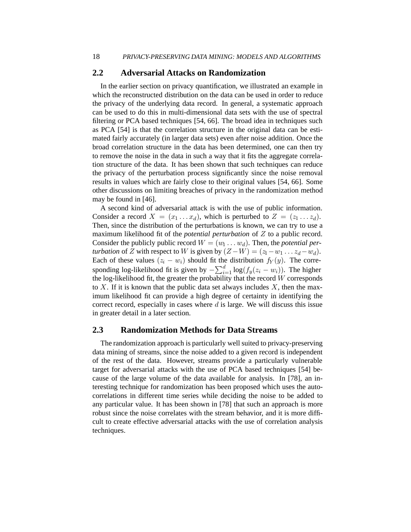#### **2.2 Adversarial Attacks on Randomization**

In the earlier section on privacy quantification, we illustrated an example in which the reconstructed distribution on the data can be used in order to reduce the privacy of the underlying data record. In general, a systematic approach can be used to do this in multi-dimensional data sets with the use of spectral filtering or PCA based techniques [54, 66]. The broad idea in techniques such as PCA [54] is that the correlation structure in the original data can be estimated fairly accurately (in larger data sets) even after noise addition. Once the broad correlation structure in the data has been determined, one can then try to remove the noise in the data in such a way that it fits the aggregate correlation structure of the data. It has been shown that such techniques can reduce the privacy of the perturbation process significantly since the noise removal results in values which are fairly close to their original values [54, 66]. Some other discussions on limiting breaches of privacy in the randomization method may be found in [46].

A second kind of adversarial attack is with the use of public information. Consider a record  $X = (x_1 \dots x_d)$ , which is perturbed to  $Z = (z_1 \dots z_d)$ . Then, since the distribution of the perturbations is known, we can try to use a maximum likelihood fit of the *potential perturbation* of Z to a public record. Consider the publicly public record  $W = (w_1 \dots w_d)$ . Then, the *potential perturbation* of Z with respect to W is given by  $(Z - W) = (z_1 - w_1 ... z_d - w_d)$ . Each of these values  $(z_i - w_i)$  should fit the distribution  $f_Y(y)$ . The corresponding log-likelihood fit is given by  $-\sum_{i=1}^{d} \log(f_y(z_i - w_i))$ . The higher the log-likelihood fit, the greater the probability that the record  $W$  corresponds to X. If it is known that the public data set always includes  $X$ , then the maximum likelihood fit can provide a high degree of certainty in identifying the correct record, especially in cases where  $d$  is large. We will discuss this issue in greater detail in a later section.

## **2.3 Randomization Methods for Data Streams**

The randomization approach is particularly well suited to privacy-preserving data mining of streams, since the noise added to a given record is independent of the rest of the data. However, streams provide a particularly vulnerable target for adversarial attacks with the use of PCA based techniques [54] because of the large volume of the data available for analysis. In [78], an interesting technique for randomization has been proposed which uses the autocorrelations in different time series while deciding the noise to be added to any particular value. It has been shown in [78] that such an approach is more robust since the noise correlates with the stream behavior, and it is more difficult to create effective adversarial attacks with the use of correlation analysis techniques.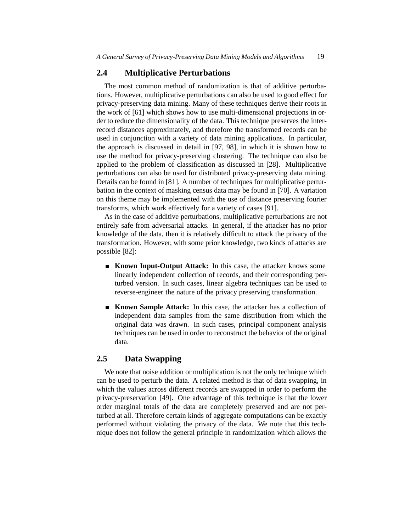#### **2.4 Multiplicative Perturbations**

The most common method of randomization is that of additive perturbations. However, multiplicative perturbations can also be used to good effect for privacy-preserving data mining. Many of these techniques derive their roots in the work of [61] which shows how to use multi-dimensional projections in order to reduce the dimensionality of the data. This technique preserves the interrecord distances approximately, and therefore the transformed records can be used in conjunction with a variety of data mining applications. In particular, the approach is discussed in detail in [97, 98], in which it is shown how to use the method for privacy-preserving clustering. The technique can also be applied to the problem of classification as discussed in [28]. Multiplicative perturbations can also be used for distributed privacy-preserving data mining. Details can be found in [81]. A number of techniques for multiplicative perturbation in the context of masking census data may be found in [70]. A variation on this theme may be implemented with the use of distance preserving fourier transforms, which work effectively for a variety of cases [91].

As in the case of additive perturbations, multiplicative perturbations are not entirely safe from adversarial attacks. In general, if the attacker has no prior knowledge of the data, then it is relatively difficult to attack the privacy of the transformation. However, with some prior knowledge, two kinds of attacks are possible [82]:

- **Known Input-Output Attack:** In this case, the attacker knows some linearly independent collection of records, and their corresponding perturbed version. In such cases, linear algebra techniques can be used to reverse-engineer the nature of the privacy preserving transformation.
- **Known Sample Attack:** In this case, the attacker has a collection of independent data samples from the same distribution from which the original data was drawn. In such cases, principal component analysis techniques can be used in order to reconstruct the behavior of the original data.

# **2.5 Data Swapping**

We note that noise addition or multiplication is not the only technique which can be used to perturb the data. A related method is that of data swapping, in which the values across different records are swapped in order to perform the privacy-preservation [49]. One advantage of this technique is that the lower order marginal totals of the data are completely preserved and are not perturbed at all. Therefore certain kinds of aggregate computations can be exactly performed without violating the privacy of the data. We note that this technique does not follow the general principle in randomization which allows the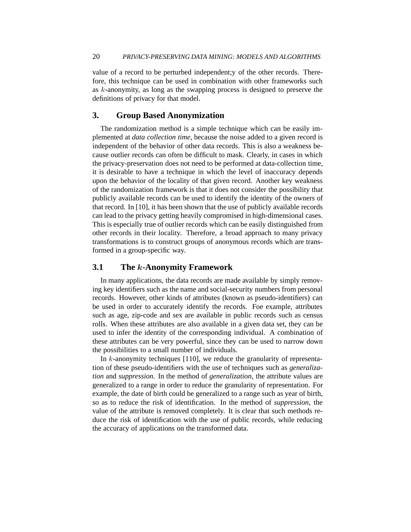value of a record to be perturbed independent;y of the other records. Therefore, this technique can be used in combination with other frameworks such as k-anonymity, as long as the swapping process is designed to preserve the definitions of privacy for that model.

### **3. Group Based Anonymization**

The randomization method is a simple technique which can be easily implemented at *data collection time*, because the noise added to a given record is independent of the behavior of other data records. This is also a weakness because outlier records can often be difficult to mask. Clearly, in cases in which the privacy-preservation does not need to be performed at data-collection time, it is desirable to have a technique in which the level of inaccuracy depends upon the behavior of the locality of that given record. Another key weakness of the randomization framework is that it does not consider the possibility that publicly available records can be used to identify the identity of the owners of that record. In [10], it has been shown that the use of publicly available records can lead to the privacy getting heavily compromised in high-dimensional cases. This is especially true of outlier records which can be easily distinguished from other records in their locality. Therefore, a broad approach to many privacy transformations is to construct groups of anonymous records which are transformed in a group-specific way.

### **3.1 The** *k***-Anonymity Framework**

In many applications, the data records are made available by simply removing key identifiers such as the name and social-security numbers from personal records. However, other kinds of attributes (known as pseudo-identifiers) can be used in order to accurately identify the records. Foe example, attributes such as age, zip-code and sex are available in public records such as census rolls. When these attributes are also available in a given data set, they can be used to infer the identity of the corresponding individual. A combination of these attributes can be very powerful, since they can be used to narrow down the possibilities to a small number of individuals.

In  $k$ -anonymity techniques [110], we reduce the granularity of representation of these pseudo-identifiers with the use of techniques such as *generalization* and *suppression*. In the method of *generalization*, the attribute values are generalized to a range in order to reduce the granularity of representation. For example, the date of birth could be generalized to a range such as year of birth, so as to reduce the risk of identification. In the method of *suppression*, the value of the attribute is removed completely. It is clear that such methods reduce the risk of identification with the use of public records, while reducing the accuracy of applications on the transformed data.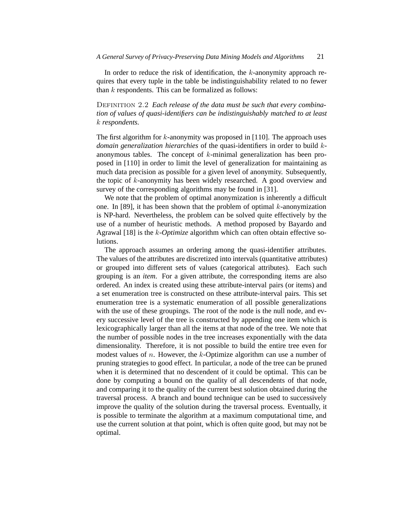In order to reduce the risk of identification, the  $k$ -anonymity approach requires that every tuple in the table be indistinguishability related to no fewer than  $k$  respondents. This can be formalized as follows:

DEFINITION 2.2 *Each release of the data must be such that every combination of values of quasi-identifiers can be indistinguishably matched to at least* k *respondents.*

The first algorithm for  $k$ -anonymity was proposed in [110]. The approach uses *domain generalization hierarchies* of the quasi-identifiers in order to build kanonymous tables. The concept of k-minimal generalization has been proposed in [110] in order to limit the level of generalization for maintaining as much data precision as possible for a given level of anonymity. Subsequently, the topic of k-anonymity has been widely researched. A good overview and survey of the corresponding algorithms may be found in [31].

We note that the problem of optimal anonymization is inherently a difficult one. In [89], it has been shown that the problem of optimal  $k$ -anonymization is NP-hard. Nevertheless, the problem can be solved quite effectively by the use of a number of heuristic methods. A method proposed by Bayardo and Agrawal [18] is the k*-Optimize* algorithm which can often obtain effective solutions.

The approach assumes an ordering among the quasi-identifier attributes. The values of the attributes are discretized into intervals (quantitative attributes) or grouped into different sets of values (categorical attributes). Each such grouping is an *item*. For a given attribute, the corresponding items are also ordered. An index is created using these attribute-interval pairs (or items) and a set enumeration tree is constructed on these attribute-interval pairs. This set enumeration tree is a systematic enumeration of all possible generalizations with the use of these groupings. The root of the node is the null node, and every successive level of the tree is constructed by appending one item which is lexicographically larger than all the items at that node of the tree. We note that the number of possible nodes in the tree increases exponentially with the data dimensionality. Therefore, it is not possible to build the entire tree even for modest values of *n*. However, the *k*-Optimize algorithm can use a number of pruning strategies to good effect. In particular, a node of the tree can be pruned when it is determined that no descendent of it could be optimal. This can be done by computing a bound on the quality of all descendents of that node, and comparing it to the quality of the current best solution obtained during the traversal process. A branch and bound technique can be used to successively improve the quality of the solution during the traversal process. Eventually, it is possible to terminate the algorithm at a maximum computational time, and use the current solution at that point, which is often quite good, but may not be optimal.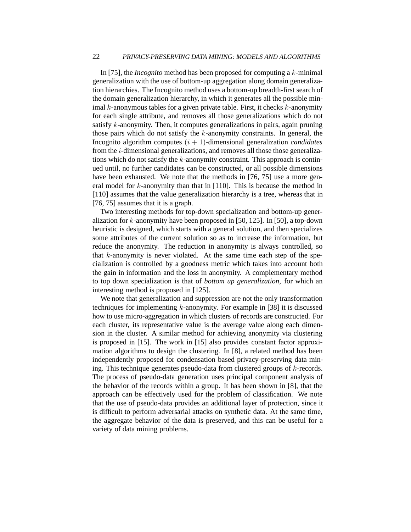#### 22 *PRIVACY-PRESERVING DATA MINING: MODELS AND ALGORITHMS*

In [75], the *Incognito* method has been proposed for computing a k-minimal generalization with the use of bottom-up aggregation along domain generalization hierarchies. The Incognito method uses a bottom-up breadth-first search of the domain generalization hierarchy, in which it generates all the possible minimal  $k$ -anonymous tables for a given private table. First, it checks  $k$ -anonymity for each single attribute, and removes all those generalizations which do not satisfy k-anonymity. Then, it computes generalizations in pairs, again pruning those pairs which do not satisfy the  $k$ -anonymity constraints. In general, the Incognito algorithm computes (i + 1)-dimensional generalization *candidates* from the i-dimensional generalizations, and removes all those those generalizations which do not satisfy the k-anonymity constraint. This approach is continued until, no further candidates can be constructed, or all possible dimensions have been exhausted. We note that the methods in [76, 75] use a more general model for k-anonymity than that in [110]. This is because the method in [110] assumes that the value generalization hierarchy is a tree, whereas that in [76, 75] assumes that it is a graph.

Two interesting methods for top-down specialization and bottom-up generalization for k-anonymity have been proposed in [50, 125]. In [50], a top-down heuristic is designed, which starts with a general solution, and then specializes some attributes of the current solution so as to increase the information, but reduce the anonymity. The reduction in anonymity is always controlled, so that  $k$ -anonymity is never violated. At the same time each step of the specialization is controlled by a goodness metric which takes into account both the gain in information and the loss in anonymity. A complementary method to top down specialization is that of *bottom up generalization*, for which an interesting method is proposed in [125].

We note that generalization and suppression are not the only transformation techniques for implementing  $k$ -anonymity. For example in [38] it is discussed how to use micro-aggregation in which clusters of records are constructed. For each cluster, its representative value is the average value along each dimension in the cluster. A similar method for achieving anonymity via clustering is proposed in [15]. The work in [15] also provides constant factor approximation algorithms to design the clustering. In [8], a related method has been independently proposed for condensation based privacy-preserving data mining. This technique generates pseudo-data from clustered groups of k-records. The process of pseudo-data generation uses principal component analysis of the behavior of the records within a group. It has been shown in [8], that the approach can be effectively used for the problem of classification. We note that the use of pseudo-data provides an additional layer of protection, since it is difficult to perform adversarial attacks on synthetic data. At the same time, the aggregate behavior of the data is preserved, and this can be useful for a variety of data mining problems.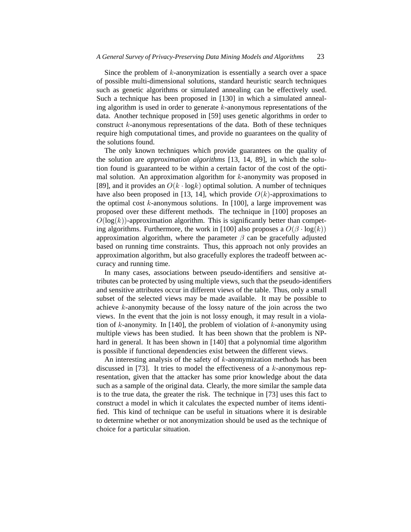Since the problem of k-anonymization is essentially a search over a space of possible multi-dimensional solutions, standard heuristic search techniques such as genetic algorithms or simulated annealing can be effectively used. Such a technique has been proposed in [130] in which a simulated annealing algorithm is used in order to generate  $k$ -anonymous representations of the data. Another technique proposed in [59] uses genetic algorithms in order to construct  $k$ -anonymous representations of the data. Both of these techniques require high computational times, and provide no guarantees on the quality of the solutions found.

The only known techniques which provide guarantees on the quality of the solution are *approximation algorithms* [13, 14, 89], in which the solution found is guaranteed to be within a certain factor of the cost of the optimal solution. An approximation algorithm for  $k$ -anonymity was proposed in [89], and it provides an  $O(k \cdot \log k)$  optimal solution. A number of techniques have also been proposed in [13, 14], which provide  $O(k)$ -approximations to the optimal cost  $k$ -anonymous solutions. In [100], a large improvement was proposed over these different methods. The technique in [100] proposes an  $O(log(k))$ -approximation algorithm. This is significantly better than competing algorithms. Furthermore, the work in [100] also proposes a  $O(\beta \cdot \log(k))$ approximation algorithm, where the parameter  $\beta$  can be gracefully adjusted based on running time constraints. Thus, this approach not only provides an approximation algorithm, but also gracefully explores the tradeoff between accuracy and running time.

In many cases, associations between pseudo-identifiers and sensitive attributes can be protected by using multiple views, such that the pseudo-identifiers and sensitive attributes occur in different views of the table. Thus, only a small subset of the selected views may be made available. It may be possible to achieve k-anonymity because of the lossy nature of the join across the two views. In the event that the join is not lossy enough, it may result in a violation of  $k$ -anonymity. In [140], the problem of violation of  $k$ -anonymity using multiple views has been studied. It has been shown that the problem is NPhard in general. It has been shown in [140] that a polynomial time algorithm is possible if functional dependencies exist between the different views.

An interesting analysis of the safety of  $k$ -anonymization methods has been discussed in [73]. It tries to model the effectiveness of a  $k$ -anonymous representation, given that the attacker has some prior knowledge about the data such as a sample of the original data. Clearly, the more similar the sample data is to the true data, the greater the risk. The technique in [73] uses this fact to construct a model in which it calculates the expected number of items identified. This kind of technique can be useful in situations where it is desirable to determine whether or not anonymization should be used as the technique of choice for a particular situation.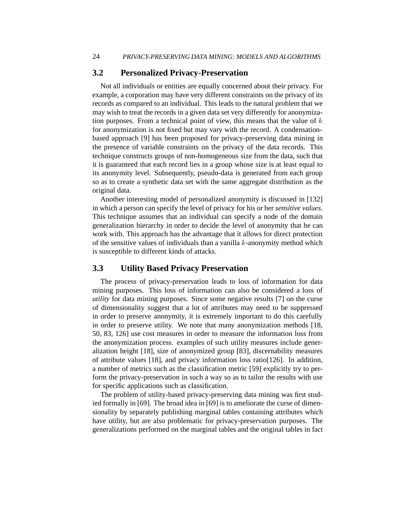#### **3.2 Personalized Privacy-Preservation**

Not all individuals or entities are equally concerned about their privacy. For example, a corporation may have very different constraints on the privacy of its records as compared to an individual. This leads to the natural problem that we may wish to treat the records in a given data set very differently for anonymization purposes. From a technical point of view, this means that the value of  $k$ for anonymization is not fixed but may vary with the record. A condensationbased approach [9] has been proposed for privacy-preserving data mining in the presence of variable constraints on the privacy of the data records. This technique constructs groups of non-homogeneous size from the data, such that it is guaranteed that each record lies in a group whose size is at least equal to its anonymity level. Subsequently, pseudo-data is generated from each group so as to create a synthetic data set with the same aggregate distribution as the original data.

Another interesting model of personalized anonymity is discussed in [132] in which a person can specify the level of privacy for his or her *sensitive values*. This technique assumes that an individual can specify a node of the domain generalization hierarchy in order to decide the level of anonymity that he can work with. This approach has the advantage that it allows for direct protection of the sensitive values of individuals than a vanilla  $k$ -anonymity method which is susceptible to different kinds of attacks.

### **3.3 Utility Based Privacy Preservation**

The process of privacy-preservation leads to loss of information for data mining purposes. This loss of information can also be considered a loss of *utility* for data mining purposes. Since some negative results [7] on the curse of dimensionality suggest that a lot of attributes may need to be suppressed in order to preserve anonymity, it is extremely important to do this carefully in order to preserve utility. We note that many anonymization methods [18, 50, 83, 126] use cost measures in order to measure the information loss from the anonymization process. examples of such utility measures include generalization height [18], size of anonymized group [83], discernability measures of attribute values [18], and privacy information loss ratio[126]. In addition, a number of metrics such as the classification metric [59] explicitly try to perform the privacy-preservation in such a way so as to tailor the results with use for specific applications such as classification.

The problem of utility-based privacy-preserving data mining was first studied formally in [69]. The broad idea in [69] is to ameliorate the curse of dimensionality by separately publishing marginal tables containing attributes which have utility, but are also problematic for privacy-preservation purposes. The generalizations performed on the marginal tables and the original tables in fact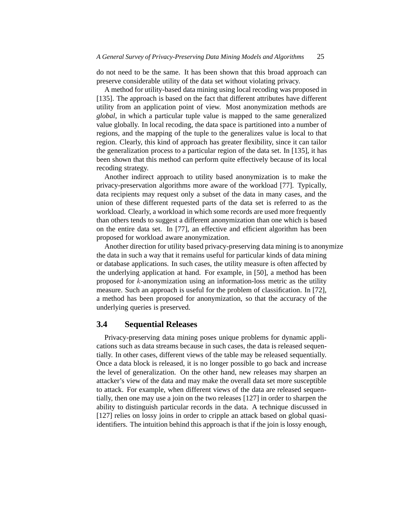do not need to be the same. It has been shown that this broad approach can preserve considerable utility of the data set without violating privacy.

A method for utility-based data mining using local recoding was proposed in [135]. The approach is based on the fact that different attributes have different utility from an application point of view. Most anonymization methods are *global*, in which a particular tuple value is mapped to the same generalized value globally. In local recoding, the data space is partitioned into a number of regions, and the mapping of the tuple to the generalizes value is local to that region. Clearly, this kind of approach has greater flexibility, since it can tailor the generalization process to a particular region of the data set. In [135], it has been shown that this method can perform quite effectively because of its local recoding strategy.

Another indirect approach to utility based anonymization is to make the privacy-preservation algorithms more aware of the workload [77]. Typically, data recipients may request only a subset of the data in many cases, and the union of these different requested parts of the data set is referred to as the workload. Clearly, a workload in which some records are used more frequently than others tends to suggest a different anonymization than one which is based on the entire data set. In [77], an effective and efficient algorithm has been proposed for workload aware anonymization.

Another direction for utility based privacy-preserving data mining is to anonymize the data in such a way that it remains useful for particular kinds of data mining or database applications. In such cases, the utility measure is often affected by the underlying application at hand. For example, in [50], a method has been proposed for k-anonymization using an information-loss metric as the utility measure. Such an approach is useful for the problem of classification. In [72], a method has been proposed for anonymization, so that the accuracy of the underlying queries is preserved.

### **3.4 Sequential Releases**

Privacy-preserving data mining poses unique problems for dynamic applications such as data streams because in such cases, the data is released sequentially. In other cases, different views of the table may be released sequentially. Once a data block is released, it is no longer possible to go back and increase the level of generalization. On the other hand, new releases may sharpen an attacker's view of the data and may make the overall data set more susceptible to attack. For example, when different views of the data are released sequentially, then one may use a join on the two releases [127] in order to sharpen the ability to distinguish particular records in the data. A technique discussed in [127] relies on lossy joins in order to cripple an attack based on global quasiidentifiers. The intuition behind this approach is that if the join is lossy enough,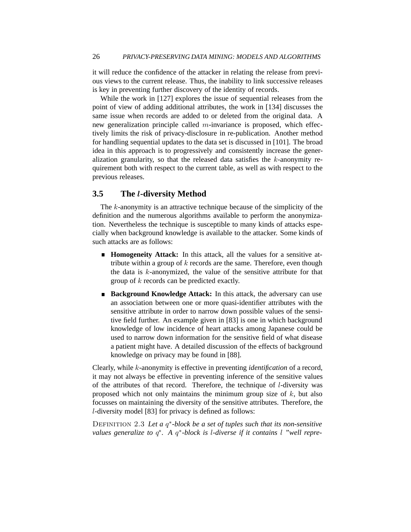it will reduce the confidence of the attacker in relating the release from previous views to the current release. Thus, the inability to link successive releases is key in preventing further discovery of the identity of records.

While the work in [127] explores the issue of sequential releases from the point of view of adding additional attributes, the work in [134] discusses the same issue when records are added to or deleted from the original data. A new generalization principle called m-invariance is proposed, which effectively limits the risk of privacy-disclosure in re-publication. Another method for handling sequential updates to the data set is discussed in [101]. The broad idea in this approach is to progressively and consistently increase the generalization granularity, so that the released data satisfies the  $k$ -anonymity requirement both with respect to the current table, as well as with respect to the previous releases.

### **3.5 The** *l***-diversity Method**

The k-anonymity is an attractive technique because of the simplicity of the definition and the numerous algorithms available to perform the anonymization. Nevertheless the technique is susceptible to many kinds of attacks especially when background knowledge is available to the attacker. Some kinds of such attacks are as follows:

- **Homogeneity Attack:** In this attack, all the values for a sensitive attribute within a group of  $k$  records are the same. Therefore, even though the data is k-anonymized, the value of the sensitive attribute for that group of k records can be predicted exactly.
- **Background Knowledge Attack:** In this attack, the adversary can use an association between one or more quasi-identifier attributes with the sensitive attribute in order to narrow down possible values of the sensitive field further. An example given in [83] is one in which background knowledge of low incidence of heart attacks among Japanese could be used to narrow down information for the sensitive field of what disease a patient might have. A detailed discussion of the effects of background knowledge on privacy may be found in [88].

Clearly, while k-anonymity is effective in preventing *identification* of a record, it may not always be effective in preventing inference of the sensitive values of the attributes of that record. Therefore, the technique of l-diversity was proposed which not only maintains the minimum group size of  $k$ , but also focusses on maintaining the diversity of the sensitive attributes. Therefore, the l-diversity model [83] for privacy is defined as follows:

DEFINITION 2.3 *Let a* q<sup>\*</sup>*-block be a set of tuples such that its non-sensitive values generalize to* q∗*. A* q∗*-block is* l*-diverse if it contains* l *"well repre-*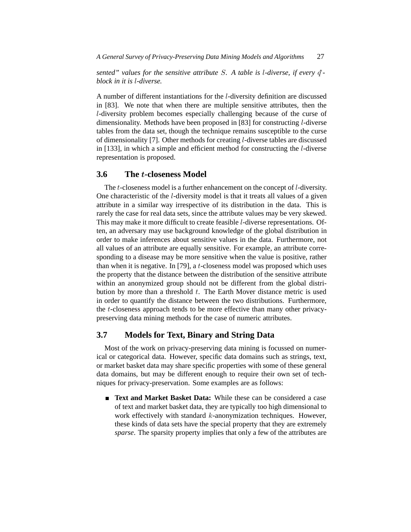*sented" values for the sensitive attribute* S*. A table is* l*-diverse, if every* q ∗ *block in it is* l*-diverse.*

A number of different instantiations for the l-diversity definition are discussed in [83]. We note that when there are multiple sensitive attributes, then the l-diversity problem becomes especially challenging because of the curse of dimensionality. Methods have been proposed in [83] for constructing l-diverse tables from the data set, though the technique remains susceptible to the curse of dimensionality [7]. Other methods for creating l-diverse tables are discussed in [133], in which a simple and efficient method for constructing the l-diverse representation is proposed.

### **3.6 The** *t***-closeness Model**

The *t*-closeness model is a further enhancement on the concept of *l*-diversity. One characteristic of the l-diversity model is that it treats all values of a given attribute in a similar way irrespective of its distribution in the data. This is rarely the case for real data sets, since the attribute values may be very skewed. This may make it more difficult to create feasible l-diverse representations. Often, an adversary may use background knowledge of the global distribution in order to make inferences about sensitive values in the data. Furthermore, not all values of an attribute are equally sensitive. For example, an attribute corresponding to a disease may be more sensitive when the value is positive, rather than when it is negative. In  $[79]$ , a *t*-closeness model was proposed which uses the property that the distance between the distribution of the sensitive attribute within an anonymized group should not be different from the global distribution by more than a threshold  $t$ . The Earth Mover distance metric is used in order to quantify the distance between the two distributions. Furthermore, the t-closeness approach tends to be more effective than many other privacypreserving data mining methods for the case of numeric attributes.

#### **3.7 Models for Text, Binary and String Data**

Most of the work on privacy-preserving data mining is focussed on numerical or categorical data. However, specific data domains such as strings, text, or market basket data may share specific properties with some of these general data domains, but may be different enough to require their own set of techniques for privacy-preservation. Some examples are as follows:

**Text and Market Basket Data:** While these can be considered a case of text and market basket data, they are typically too high dimensional to work effectively with standard *k*-anonymization techniques. However, these kinds of data sets have the special property that they are extremely *sparse*. The sparsity property implies that only a few of the attributes are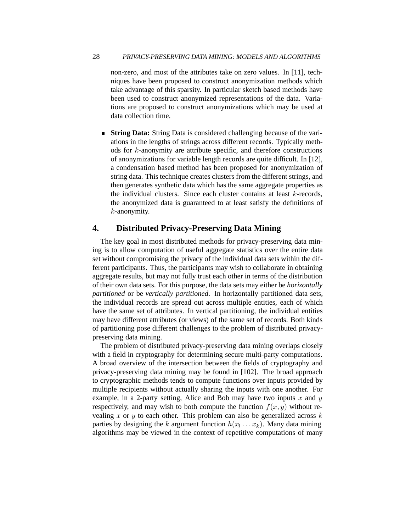non-zero, and most of the attributes take on zero values. In [11], techniques have been proposed to construct anonymization methods which take advantage of this sparsity. In particular sketch based methods have been used to construct anonymized representations of the data. Variations are proposed to construct anonymizations which may be used at data collection time.

**String Data:** String Data is considered challenging because of the variations in the lengths of strings across different records. Typically methods for k-anonymity are attribute specific, and therefore constructions of anonymizations for variable length records are quite difficult. In [12], a condensation based method has been proposed for anonymization of string data. This technique creates clusters from the different strings, and then generates synthetic data which has the same aggregate properties as the individual clusters. Since each cluster contains at least  $k$ -records, the anonymized data is guaranteed to at least satisfy the definitions of k-anonymity.

# **4. Distributed Privacy-Preserving Data Mining**

The key goal in most distributed methods for privacy-preserving data mining is to allow computation of useful aggregate statistics over the entire data set without compromising the privacy of the individual data sets within the different participants. Thus, the participants may wish to collaborate in obtaining aggregate results, but may not fully trust each other in terms of the distribution of their own data sets. For this purpose, the data sets may either be *horizontally partitioned* or be *vertically partitioned*. In horizontally partitioned data sets, the individual records are spread out across multiple entities, each of which have the same set of attributes. In vertical partitioning, the individual entities may have different attributes (or views) of the same set of records. Both kinds of partitioning pose different challenges to the problem of distributed privacypreserving data mining.

The problem of distributed privacy-preserving data mining overlaps closely with a field in cryptography for determining secure multi-party computations. A broad overview of the intersection between the fields of cryptography and privacy-preserving data mining may be found in [102]. The broad approach to cryptographic methods tends to compute functions over inputs provided by multiple recipients without actually sharing the inputs with one another. For example, in a 2-party setting, Alice and Bob may have two inputs x and y respectively, and may wish to both compute the function  $f(x, y)$  without revealing x or y to each other. This problem can also be generalized across  $k$ parties by designing the k argument function  $h(x_1 \ldots x_k)$ . Many data mining algorithms may be viewed in the context of repetitive computations of many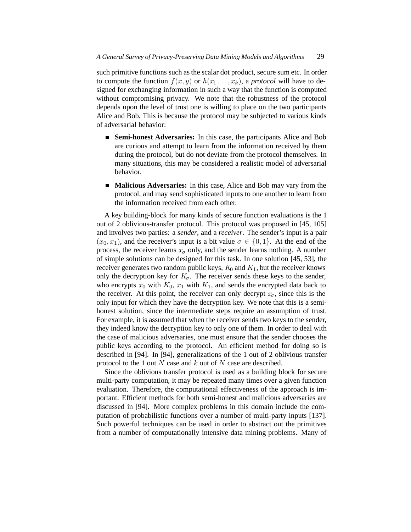such primitive functions such as the scalar dot product, secure sum etc. In order to compute the function  $f(x, y)$  or  $h(x_1, \ldots, x_k)$ , a *protocol* will have to designed for exchanging information in such a way that the function is computed without compromising privacy. We note that the robustness of the protocol depends upon the level of trust one is willing to place on the two participants Alice and Bob. This is because the protocol may be subjected to various kinds of adversarial behavior:

- **Semi-honest Adversaries:** In this case, the participants Alice and Bob are curious and attempt to learn from the information received by them during the protocol, but do not deviate from the protocol themselves. In many situations, this may be considered a realistic model of adversarial behavior.
- **Malicious Adversaries:** In this case, Alice and Bob may vary from the protocol, and may send sophisticated inputs to one another to learn from the information received from each other.

A key building-block for many kinds of secure function evaluations is the 1 out of 2 oblivious-transfer protocol. This protocol was proposed in [45, 105] and involves two parties: a *sender*, and a *receiver*. The sender's input is a pair  $(x_0, x_1)$ , and the receiver's input is a bit value  $\sigma \in \{0, 1\}$ . At the end of the process, the receiver learns  $x_{\sigma}$  only, and the sender learns nothing. A number of simple solutions can be designed for this task. In one solution [45, 53], the receiver generates two random public keys,  $K_0$  and  $K_1$ , but the receiver knows only the decryption key for  $K_{\sigma}$ . The receiver sends these keys to the sender, who encrypts  $x_0$  with  $K_0$ ,  $x_1$  with  $K_1$ , and sends the encrypted data back to the receiver. At this point, the receiver can only decrypt  $x_{\sigma}$ , since this is the only input for which they have the decryption key. We note that this is a semihonest solution, since the intermediate steps require an assumption of trust. For example, it is assumed that when the receiver sends two keys to the sender, they indeed know the decryption key to only one of them. In order to deal with the case of malicious adversaries, one must ensure that the sender chooses the public keys according to the protocol. An efficient method for doing so is described in [94]. In [94], generalizations of the 1 out of 2 oblivious transfer protocol to the 1 out  $N$  case and  $k$  out of  $N$  case are described.

Since the oblivious transfer protocol is used as a building block for secure multi-party computation, it may be repeated many times over a given function evaluation. Therefore, the computational effectiveness of the approach is important. Efficient methods for both semi-honest and malicious adversaries are discussed in [94]. More complex problems in this domain include the computation of probabilistic functions over a number of multi-party inputs [137]. Such powerful techniques can be used in order to abstract out the primitives from a number of computationally intensive data mining problems. Many of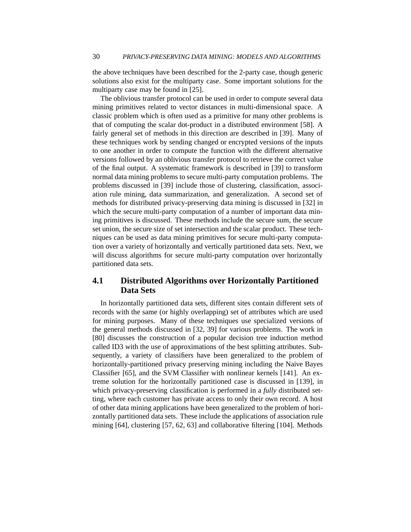the above techniques have been described for the 2-party case, though generic solutions also exist for the multiparty case. Some important solutions for the multiparty case may be found in [25].

The oblivious transfer protocol can be used in order to compute several data mining primitives related to vector distances in multi-dimensional space. A classic problem which is often used as a primitive for many other problems is that of computing the scalar dot-product in a distributed environment [58]. A fairly general set of methods in this direction are described in [39]. Many of these techniques work by sending changed or encrypted versions of the inputs to one another in order to compute the function with the different alternative versions followed by an oblivious transfer protocol to retrieve the correct value of the final output. A systematic framework is described in [39] to transform normal data mining problems to secure multi-party computation problems. The problems discussed in [39] include those of clustering, classification, association rule mining, data summarization, and generalization. A second set of methods for distributed privacy-preserving data mining is discussed in [32] in which the secure multi-party computation of a number of important data mining primitives is discussed. These methods include the secure sum, the secure set union, the secure size of set intersection and the scalar product. These techniques can be used as data mining primitives for secure multi-party computation over a variety of horizontally and vertically partitioned data sets. Next, we will discuss algorithms for secure multi-party computation over horizontally partitioned data sets.

# **4.1 Distributed Algorithms over Horizontally Partitioned Data Sets**

In horizontally partitioned data sets, different sites contain different sets of records with the same (or highly overlapping) set of attributes which are used for mining purposes. Many of these techniques use specialized versions of the general methods discussed in [32, 39] for various problems. The work in [80] discusses the construction of a popular decision tree induction method called ID3 with the use of approximations of the best splitting attributes. Subsequently, a variety of classifiers have been generalized to the problem of horizontally-partitioned privacy preserving mining including the Naive Bayes Classifier [65], and the SVM Classifier with nonlinear kernels [141]. An extreme solution for the horizontally partitioned case is discussed in [139], in which privacy-preserving classification is performed in a *fully* distributed setting, where each customer has private access to only their own record. A host of other data mining applications have been generalized to the problem of horizontally partitioned data sets. These include the applications of association rule mining [64], clustering [57, 62, 63] and collaborative filtering [104]. Methods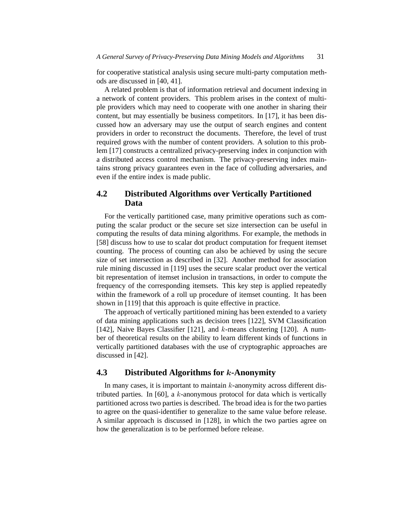for cooperative statistical analysis using secure multi-party computation methods are discussed in [40, 41].

A related problem is that of information retrieval and document indexing in a network of content providers. This problem arises in the context of multiple providers which may need to cooperate with one another in sharing their content, but may essentially be business competitors. In [17], it has been discussed how an adversary may use the output of search engines and content providers in order to reconstruct the documents. Therefore, the level of trust required grows with the number of content providers. A solution to this problem [17] constructs a centralized privacy-preserving index in conjunction with a distributed access control mechanism. The privacy-preserving index maintains strong privacy guarantees even in the face of colluding adversaries, and even if the entire index is made public.

# **4.2 Distributed Algorithms over Vertically Partitioned Data**

For the vertically partitioned case, many primitive operations such as computing the scalar product or the secure set size intersection can be useful in computing the results of data mining algorithms. For example, the methods in [58] discuss how to use to scalar dot product computation for frequent itemset counting. The process of counting can also be achieved by using the secure size of set intersection as described in [32]. Another method for association rule mining discussed in [119] uses the secure scalar product over the vertical bit representation of itemset inclusion in transactions, in order to compute the frequency of the corresponding itemsets. This key step is applied repeatedly within the framework of a roll up procedure of itemset counting. It has been shown in [119] that this approach is quite effective in practice.

The approach of vertically partitioned mining has been extended to a variety of data mining applications such as decision trees [122], SVM Classification [142], Naive Bayes Classifier [121], and k-means clustering [120]. A number of theoretical results on the ability to learn different kinds of functions in vertically partitioned databases with the use of cryptographic approaches are discussed in [42].

# **4.3 Distributed Algorithms for** *k***-Anonymity**

In many cases, it is important to maintain  $k$ -anonymity across different distributed parties. In [60], a k-anonymous protocol for data which is vertically partitioned across two parties is described. The broad idea is for the two parties to agree on the quasi-identifier to generalize to the same value before release. A similar approach is discussed in [128], in which the two parties agree on how the generalization is to be performed before release.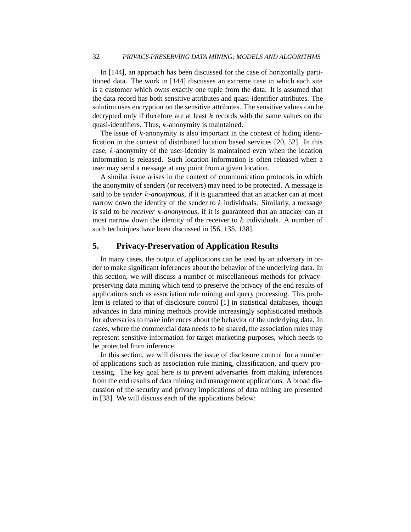#### 32 *PRIVACY-PRESERVING DATA MINING: MODELS AND ALGORITHMS*

In [144], an approach has been discussed for the case of horizontally partitioned data. The work in [144] discusses an extreme case in which each site is a customer which owns exactly one tuple from the data. It is assumed that the data record has both sensitive attributes and quasi-identifier attributes. The solution uses encryption on the sensitive attributes. The sensitive values can be decrypted only if therefore are at least  $k$  records with the same values on the quasi-identifiers. Thus, k-anonymity is maintained.

The issue of  $k$ -anonymity is also important in the context of hiding identification in the context of distributed location based services [20, 52]. In this case, k-anonymity of the user-identity is maintained even when the location information is released. Such location information is often released when a user may send a message at any point from a given location.

A similar issue arises in the context of communication protocols in which the anonymity of senders (or receivers) may need to be protected. A message is said to be *sender* k*-anonymous*, if it is guaranteed that an attacker can at most narrow down the identity of the sender to  $k$  individuals. Similarly, a message is said to be *receiver* k*-anonymous*, if it is guaranteed that an attacker can at most narrow down the identity of the receiver to  $k$  individuals. A number of such techniques have been discussed in [56, 135, 138].

### **5. Privacy-Preservation of Application Results**

In many cases, the output of applications can be used by an adversary in order to make significant inferences about the behavior of the underlying data. In this section, we will discuss a number of miscellaneous methods for privacypreserving data mining which tend to preserve the privacy of the end results of applications such as association rule mining and query processing. This problem is related to that of disclosure control [1] in statistical databases, though advances in data mining methods provide increasingly sophisticated methods for adversaries to make inferences about the behavior of the underlying data. In cases, where the commercial data needs to be shared, the association rules may represent sensitive information for target-marketing purposes, which needs to be protected from inference.

In this section, we will discuss the issue of disclosure control for a number of applications such as association rule mining, classification, and query processing. The key goal here is to prevent adversaries from making inferences from the end results of data mining and management applications. A broad discussion of the security and privacy implications of data mining are presented in [33]. We will discuss each of the applications below: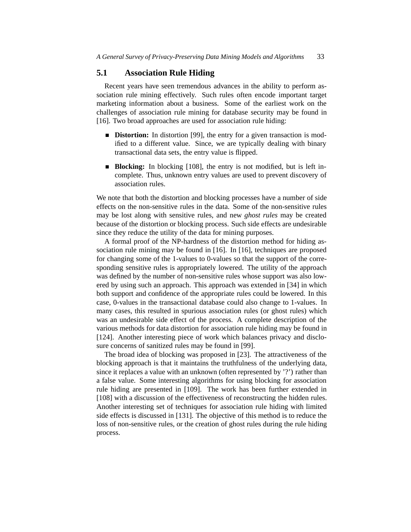#### **5.1 Association Rule Hiding**

Recent years have seen tremendous advances in the ability to perform association rule mining effectively. Such rules often encode important target marketing information about a business. Some of the earliest work on the challenges of association rule mining for database security may be found in [16]. Two broad approaches are used for association rule hiding:

- **Distortion:** In distortion [99], the entry for a given transaction is modified to a different value. Since, we are typically dealing with binary transactional data sets, the entry value is flipped.
- **Blocking:** In blocking [108], the entry is not modified, but is left incomplete. Thus, unknown entry values are used to prevent discovery of association rules.

We note that both the distortion and blocking processes have a number of side effects on the non-sensitive rules in the data. Some of the non-sensitive rules may be lost along with sensitive rules, and new *ghost rules* may be created because of the distortion or blocking process. Such side effects are undesirable since they reduce the utility of the data for mining purposes.

A formal proof of the NP-hardness of the distortion method for hiding association rule mining may be found in [16]. In [16], techniques are proposed for changing some of the 1-values to 0-values so that the support of the corresponding sensitive rules is appropriately lowered. The utility of the approach was defined by the number of non-sensitive rules whose support was also lowered by using such an approach. This approach was extended in [34] in which both support and confidence of the appropriate rules could be lowered. In this case, 0-values in the transactional database could also change to 1-values. In many cases, this resulted in spurious association rules (or ghost rules) which was an undesirable side effect of the process. A complete description of the various methods for data distortion for association rule hiding may be found in [124]. Another interesting piece of work which balances privacy and disclosure concerns of sanitized rules may be found in [99].

The broad idea of blocking was proposed in [23]. The attractiveness of the blocking approach is that it maintains the truthfulness of the underlying data, since it replaces a value with an unknown (often represented by '?') rather than a false value. Some interesting algorithms for using blocking for association rule hiding are presented in [109]. The work has been further extended in [108] with a discussion of the effectiveness of reconstructing the hidden rules. Another interesting set of techniques for association rule hiding with limited side effects is discussed in [131]. The objective of this method is to reduce the loss of non-sensitive rules, or the creation of ghost rules during the rule hiding process.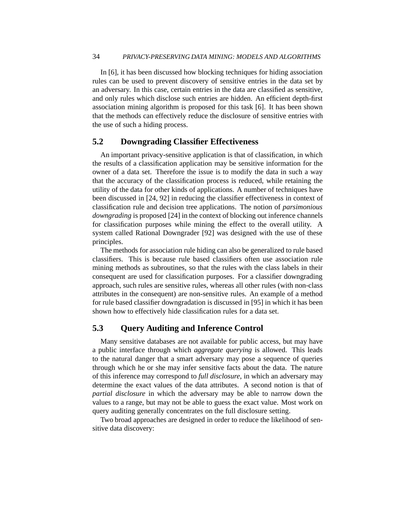In [6], it has been discussed how blocking techniques for hiding association rules can be used to prevent discovery of sensitive entries in the data set by an adversary. In this case, certain entries in the data are classified as sensitive, and only rules which disclose such entries are hidden. An efficient depth-first association mining algorithm is proposed for this task [6]. It has been shown that the methods can effectively reduce the disclosure of sensitive entries with the use of such a hiding process.

### **5.2 Downgrading Classifier Effectiveness**

An important privacy-sensitive application is that of classification, in which the results of a classification application may be sensitive information for the owner of a data set. Therefore the issue is to modify the data in such a way that the accuracy of the classification process is reduced, while retaining the utility of the data for other kinds of applications. A number of techniques have been discussed in [24, 92] in reducing the classifier effectiveness in context of classification rule and decision tree applications. The notion of *parsimonious downgrading* is proposed [24] in the context of blocking out inference channels for classification purposes while mining the effect to the overall utility. A system called Rational Downgrader [92] was designed with the use of these principles.

The methods for association rule hiding can also be generalized to rule based classifiers. This is because rule based classifiers often use association rule mining methods as subroutines, so that the rules with the class labels in their consequent are used for classification purposes. For a classifier downgrading approach, such rules are sensitive rules, whereas all other rules (with non-class attributes in the consequent) are non-sensitive rules. An example of a method for rule based classifier downgradation is discussed in [95] in which it has been shown how to effectively hide classification rules for a data set.

### **5.3 Query Auditing and Inference Control**

Many sensitive databases are not available for public access, but may have a public interface through which *aggregate querying* is allowed. This leads to the natural danger that a smart adversary may pose a sequence of queries through which he or she may infer sensitive facts about the data. The nature of this inference may correspond to *full disclosure*, in which an adversary may determine the exact values of the data attributes. A second notion is that of *partial disclosure* in which the adversary may be able to narrow down the values to a range, but may not be able to guess the exact value. Most work on query auditing generally concentrates on the full disclosure setting.

Two broad approaches are designed in order to reduce the likelihood of sensitive data discovery: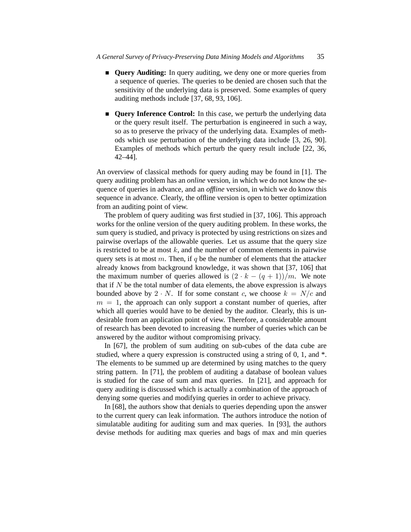- **Query Auditing:** In query auditing, we deny one or more queries from a sequence of queries. The queries to be denied are chosen such that the sensitivity of the underlying data is preserved. Some examples of query auditing methods include [37, 68, 93, 106].
- **Query Inference Control:** In this case, we perturb the underlying data or the query result itself. The perturbation is engineered in such a way, so as to preserve the privacy of the underlying data. Examples of methods which use perturbation of the underlying data include [3, 26, 90]. Examples of methods which perturb the query result include [22, 36, 42–44].

An overview of classical methods for query auding may be found in [1]. The query auditing problem has an *online* version, in which we do not know the sequence of queries in advance, and an *offline* version, in which we do know this sequence in advance. Clearly, the offline version is open to better optimization from an auditing point of view.

The problem of query auditing was first studied in [37, 106]. This approach works for the online version of the query auditing problem. In these works, the sum query is studied, and privacy is protected by using restrictions on sizes and pairwise overlaps of the allowable queries. Let us assume that the query size is restricted to be at most  $k$ , and the number of common elements in pairwise query sets is at most  $m$ . Then, if  $q$  be the number of elements that the attacker already knows from background knowledge, it was shown that [37, 106] that the maximum number of queries allowed is  $(2 \cdot k - (q + 1))/m$ . We note that if  $N$  be the total number of data elements, the above expression is always bounded above by  $2 \cdot N$ . If for some constant c, we choose  $k = N/c$  and  $m = 1$ , the approach can only support a constant number of queries, after which all queries would have to be denied by the auditor. Clearly, this is undesirable from an application point of view. Therefore, a considerable amount of research has been devoted to increasing the number of queries which can be answered by the auditor without compromising privacy.

In [67], the problem of sum auditing on sub-cubes of the data cube are studied, where a query expression is constructed using a string of 0, 1, and \*. The elements to be summed up are determined by using matches to the query string pattern. In [71], the problem of auditing a database of boolean values is studied for the case of sum and max queries. In [21], and approach for query auditing is discussed which is actually a combination of the approach of denying some queries and modifying queries in order to achieve privacy.

In [68], the authors show that denials to queries depending upon the answer to the current query can leak information. The authors introduce the notion of simulatable auditing for auditing sum and max queries. In [93], the authors devise methods for auditing max queries and bags of max and min queries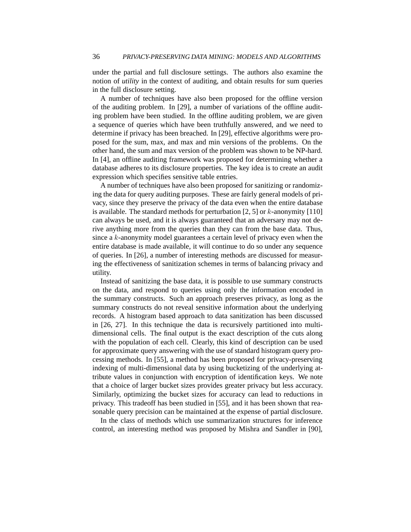under the partial and full disclosure settings. The authors also examine the notion of *utility* in the context of auditing, and obtain results for sum queries in the full disclosure setting.

A number of techniques have also been proposed for the offline version of the auditing problem. In [29], a number of variations of the offline auditing problem have been studied. In the offline auditing problem, we are given a sequence of queries which have been truthfully answered, and we need to determine if privacy has been breached. In [29], effective algorithms were proposed for the sum, max, and max and min versions of the problems. On the other hand, the sum and max version of the problem was shown to be NP-hard. In [4], an offline auditing framework was proposed for determining whether a database adheres to its disclosure properties. The key idea is to create an audit expression which specifies sensitive table entries.

A number of techniques have also been proposed for sanitizing or randomizing the data for query auditing purposes. These are fairly general models of privacy, since they preserve the privacy of the data even when the entire database is available. The standard methods for perturbation  $[2, 5]$  or k-anonymity  $[110]$ can always be used, and it is always guaranteed that an adversary may not derive anything more from the queries than they can from the base data. Thus, since a k-anonymity model guarantees a certain level of privacy even when the entire database is made available, it will continue to do so under any sequence of queries. In [26], a number of interesting methods are discussed for measuring the effectiveness of sanitization schemes in terms of balancing privacy and utility.

Instead of sanitizing the base data, it is possible to use summary constructs on the data, and respond to queries using only the information encoded in the summary constructs. Such an approach preserves privacy, as long as the summary constructs do not reveal sensitive information about the underlying records. A histogram based approach to data sanitization has been discussed in [26, 27]. In this technique the data is recursively partitioned into multidimensional cells. The final output is the exact description of the cuts along with the population of each cell. Clearly, this kind of description can be used for approximate query answering with the use of standard histogram query processing methods. In [55], a method has been proposed for privacy-preserving indexing of multi-dimensional data by using bucketizing of the underlying attribute values in conjunction with encryption of identification keys. We note that a choice of larger bucket sizes provides greater privacy but less accuracy. Similarly, optimizing the bucket sizes for accuracy can lead to reductions in privacy. This tradeoff has been studied in [55], and it has been shown that reasonable query precision can be maintained at the expense of partial disclosure.

In the class of methods which use summarization structures for inference control, an interesting method was proposed by Mishra and Sandler in [90],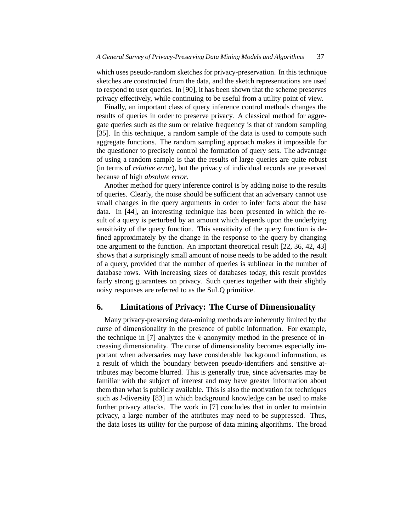which uses pseudo-random sketches for privacy-preservation. In this technique sketches are constructed from the data, and the sketch representations are used to respond to user queries. In [90], it has been shown that the scheme preserves privacy effectively, while continuing to be useful from a utility point of view.

Finally, an important class of query inference control methods changes the results of queries in order to preserve privacy. A classical method for aggregate queries such as the sum or relative frequency is that of random sampling [35]. In this technique, a random sample of the data is used to compute such aggregate functions. The random sampling approach makes it impossible for the questioner to precisely control the formation of query sets. The advantage of using a random sample is that the results of large queries are quite robust (in terms of *relative error*), but the privacy of individual records are preserved because of high *absolute error*.

Another method for query inference control is by adding noise to the results of queries. Clearly, the noise should be sufficient that an adversary cannot use small changes in the query arguments in order to infer facts about the base data. In [44], an interesting technique has been presented in which the result of a query is perturbed by an amount which depends upon the underlying sensitivity of the query function. This sensitivity of the query function is defined approximately by the change in the response to the query by changing one argument to the function. An important theoretical result [22, 36, 42, 43] shows that a surprisingly small amount of noise needs to be added to the result of a query, provided that the number of queries is sublinear in the number of database rows. With increasing sizes of databases today, this result provides fairly strong guarantees on privacy. Such queries together with their slightly noisy responses are referred to as the SuLQ primitive.

#### **6. Limitations of Privacy: The Curse of Dimensionality**

Many privacy-preserving data-mining methods are inherently limited by the curse of dimensionality in the presence of public information. For example, the technique in [7] analyzes the  $k$ -anonymity method in the presence of increasing dimensionality. The curse of dimensionality becomes especially important when adversaries may have considerable background information, as a result of which the boundary between pseudo-identifiers and sensitive attributes may become blurred. This is generally true, since adversaries may be familiar with the subject of interest and may have greater information about them than what is publicly available. This is also the motivation for techniques such as l-diversity [83] in which background knowledge can be used to make further privacy attacks. The work in [7] concludes that in order to maintain privacy, a large number of the attributes may need to be suppressed. Thus, the data loses its utility for the purpose of data mining algorithms. The broad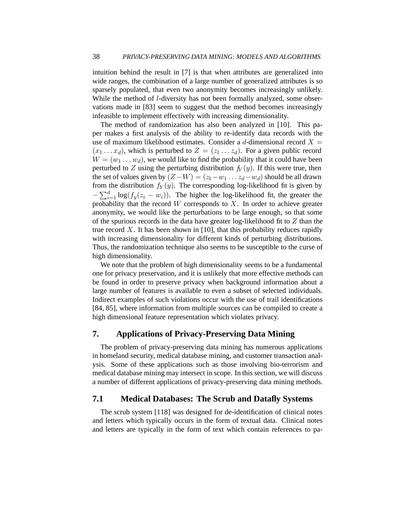intuition behind the result in [7] is that when attributes are generalized into wide ranges, the combination of a large number of generalized attributes is so sparsely populated, that even two anonymity becomes increasingly unlikely. While the method of *l*-diversity has not been formally analyzed, some observations made in [83] seem to suggest that the method becomes increasingly infeasible to implement effectively with increasing dimensionality.

The method of randomization has also been analyzed in [10]. This paper makes a first analysis of the ability to re-identify data records with the use of maximum likelihood estimates. Consider a d-dimensional record  $X =$  $(x_1 \ldots x_d)$ , which is perturbed to  $Z = (z_1 \ldots z_d)$ . For a given public record  $W = (w_1 \dots w_d)$ , we would like to find the probability that it could have been perturbed to Z using the perturbing distribution  $f_Y(y)$ . If this were true, then the set of values given by  $(Z-W)=(z_1-w_1 \ldots z_d-w_d)$  should be all drawn from the distribution  $f_Y(y)$ . The corresponding log-likelihood fit is given by  $-\sum_{i=1}^d \log(f_y(z_i - w_i))$ . The higher the log-likelihood fit, the greater the probability that the record  $W$  corresponds to  $X$ . In order to achieve greater anonymity, we would like the perturbations to be large enough, so that some of the spurious records in the data have greater log-likelihood fit to  $Z$  than the true record  $X$ . It has been shown in [10], that this probability reduces rapidly with increasing dimensionality for different kinds of perturbing distributions. Thus, the randomization technique also seems to be susceptible to the curse of high dimensionality.

We note that the problem of high dimensionality seems to be a fundamental one for privacy preservation, and it is unlikely that more effective methods can be found in order to preserve privacy when background information about a large number of features is available to even a subset of selected individuals. Indirect examples of such violations occur with the use of trail identifications [84, 85], where information from multiple sources can be compiled to create a high dimensional feature representation which violates privacy.

### **7. Applications of Privacy-Preserving Data Mining**

The problem of privacy-preserving data mining has numerous applications in homeland security, medical database mining, and customer transaction analysis. Some of these applications such as those involving bio-terrorism and medical database mining may intersect in scope. In this section, we will discuss a number of different applications of privacy-preserving data mining methods.

# **7.1 Medical Databases: The Scrub and Datafly Systems**

The scrub system [118] was designed for de-identification of clinical notes and letters which typically occurs in the form of textual data. Clinical notes and letters are typically in the form of text which contain references to pa-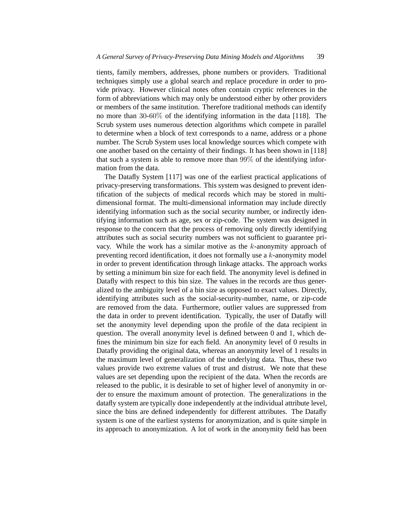tients, family members, addresses, phone numbers or providers. Traditional techniques simply use a global search and replace procedure in order to provide privacy. However clinical notes often contain cryptic references in the form of abbreviations which may only be understood either by other providers or members of the same institution. Therefore traditional methods can identify no more than 30-60% of the identifying information in the data [118]. The Scrub system uses numerous detection algorithms which compete in parallel to determine when a block of text corresponds to a name, address or a phone number. The Scrub System uses local knowledge sources which compete with one another based on the certainty of their findings. It has been shown in [118] that such a system is able to remove more than 99% of the identifying information from the data.

The Datafly System [117] was one of the earliest practical applications of privacy-preserving transformations. This system was designed to prevent identification of the subjects of medical records which may be stored in multidimensional format. The multi-dimensional information may include directly identifying information such as the social security number, or indirectly identifying information such as age, sex or zip-code. The system was designed in response to the concern that the process of removing only directly identifying attributes such as social security numbers was not sufficient to guarantee privacy. While the work has a similar motive as the k-anonymity approach of preventing record identification, it does not formally use a k-anonymity model in order to prevent identification through linkage attacks. The approach works by setting a minimum bin size for each field. The anonymity level is defined in Datafly with respect to this bin size. The values in the records are thus generalized to the ambiguity level of a bin size as opposed to exact values. Directly, identifying attributes such as the social-security-number, name, or zip-code are removed from the data. Furthermore, outlier values are suppressed from the data in order to prevent identification. Typically, the user of Datafly will set the anonymity level depending upon the profile of the data recipient in question. The overall anonymity level is defined between 0 and 1, which defines the minimum bin size for each field. An anonymity level of 0 results in Datafly providing the original data, whereas an anonymity level of 1 results in the maximum level of generalization of the underlying data. Thus, these two values provide two extreme values of trust and distrust. We note that these values are set depending upon the recipient of the data. When the records are released to the public, it is desirable to set of higher level of anonymity in order to ensure the maximum amount of protection. The generalizations in the datafly system are typically done independently at the individual attribute level, since the bins are defined independently for different attributes. The Datafly system is one of the earliest systems for anonymization, and is quite simple in its approach to anonymization. A lot of work in the anonymity field has been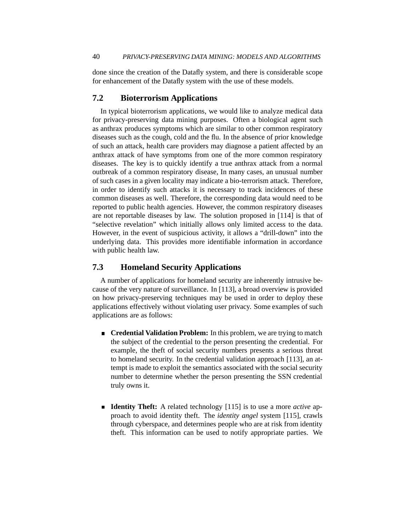done since the creation of the Datafly system, and there is considerable scope for enhancement of the Datafly system with the use of these models.

### **7.2 Bioterrorism Applications**

In typical bioterrorism applications, we would like to analyze medical data for privacy-preserving data mining purposes. Often a biological agent such as anthrax produces symptoms which are similar to other common respiratory diseases such as the cough, cold and the flu. In the absence of prior knowledge of such an attack, health care providers may diagnose a patient affected by an anthrax attack of have symptoms from one of the more common respiratory diseases. The key is to quickly identify a true anthrax attack from a normal outbreak of a common respiratory disease, In many cases, an unusual number of such cases in a given locality may indicate a bio-terrorism attack. Therefore, in order to identify such attacks it is necessary to track incidences of these common diseases as well. Therefore, the corresponding data would need to be reported to public health agencies. However, the common respiratory diseases are not reportable diseases by law. The solution proposed in [114] is that of "selective revelation" which initially allows only limited access to the data. However, in the event of suspicious activity, it allows a "drill-down" into the underlying data. This provides more identifiable information in accordance with public health law.

# **7.3 Homeland Security Applications**

A number of applications for homeland security are inherently intrusive because of the very nature of surveillance. In [113], a broad overview is provided on how privacy-preserving techniques may be used in order to deploy these applications effectively without violating user privacy. Some examples of such applications are as follows:

- **Credential Validation Problem:** In this problem, we are trying to match the subject of the credential to the person presenting the credential. For example, the theft of social security numbers presents a serious threat to homeland security. In the credential validation approach [113], an attempt is made to exploit the semantics associated with the social security number to determine whether the person presenting the SSN credential truly owns it.
- **Identity Theft:** A related technology [115] is to use a more *active* approach to avoid identity theft. The *identity angel* system [115], crawls through cyberspace, and determines people who are at risk from identity theft. This information can be used to notify appropriate parties. We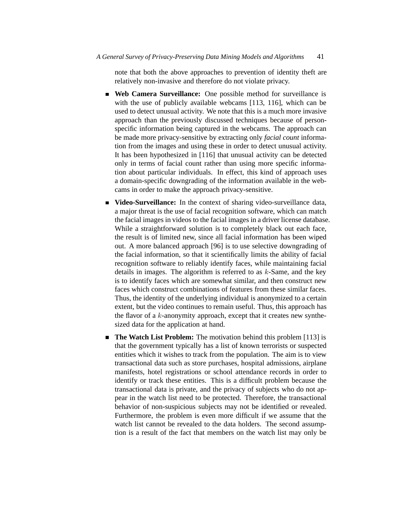note that both the above approaches to prevention of identity theft are relatively non-invasive and therefore do not violate privacy.

- **Web Camera Surveillance:** One possible method for surveillance is with the use of publicly available webcams [113, 116], which can be used to detect unusual activity. We note that this is a much more invasive approach than the previously discussed techniques because of personspecific information being captured in the webcams. The approach can be made more privacy-sensitive by extracting only *facial count* information from the images and using these in order to detect unusual activity. It has been hypothesized in [116] that unusual activity can be detected only in terms of facial count rather than using more specific information about particular individuals. In effect, this kind of approach uses a domain-specific downgrading of the information available in the webcams in order to make the approach privacy-sensitive.
- **Video-Surveillance:** In the context of sharing video-surveillance data, a major threat is the use of facial recognition software, which can match the facial images in videos to the facial images in a driver license database. While a straightforward solution is to completely black out each face, the result is of limited new, since all facial information has been wiped out. A more balanced approach [96] is to use selective downgrading of the facial information, so that it scientifically limits the ability of facial recognition software to reliably identify faces, while maintaining facial details in images. The algorithm is referred to as  $k$ -Same, and the key is to identify faces which are somewhat similar, and then construct new faces which construct combinations of features from these similar faces. Thus, the identity of the underlying individual is anonymized to a certain extent, but the video continues to remain useful. Thus, this approach has the flavor of a  $k$ -anonymity approach, except that it creates new synthesized data for the application at hand.
- **The Watch List Problem:** The motivation behind this problem [113] is that the government typically has a list of known terrorists or suspected entities which it wishes to track from the population. The aim is to view transactional data such as store purchases, hospital admissions, airplane manifests, hotel registrations or school attendance records in order to identify or track these entities. This is a difficult problem because the transactional data is private, and the privacy of subjects who do not appear in the watch list need to be protected. Therefore, the transactional behavior of non-suspicious subjects may not be identified or revealed. Furthermore, the problem is even more difficult if we assume that the watch list cannot be revealed to the data holders. The second assumption is a result of the fact that members on the watch list may only be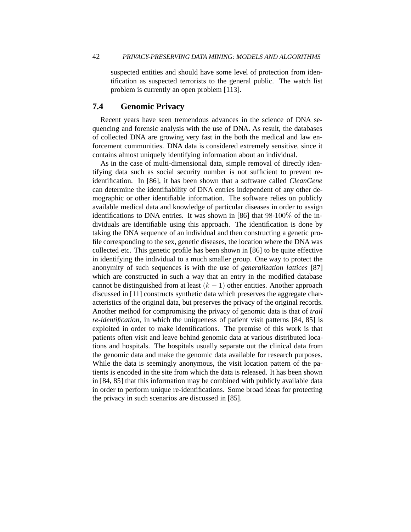suspected entities and should have some level of protection from identification as suspected terrorists to the general public. The watch list problem is currently an open problem [113].

### **7.4 Genomic Privacy**

Recent years have seen tremendous advances in the science of DNA sequencing and forensic analysis with the use of DNA. As result, the databases of collected DNA are growing very fast in the both the medical and law enforcement communities. DNA data is considered extremely sensitive, since it contains almost uniquely identifying information about an individual.

As in the case of multi-dimensional data, simple removal of directly identifying data such as social security number is not sufficient to prevent reidentification. In [86], it has been shown that a software called *CleanGene* can determine the identifiability of DNA entries independent of any other demographic or other identifiable information. The software relies on publicly available medical data and knowledge of particular diseases in order to assign identifications to DNA entries. It was shown in [86] that 98-100% of the individuals are identifiable using this approach. The identification is done by taking the DNA sequence of an individual and then constructing a genetic profile corresponding to the sex, genetic diseases, the location where the DNA was collected etc. This genetic profile has been shown in [86] to be quite effective in identifying the individual to a much smaller group. One way to protect the anonymity of such sequences is with the use of *generalization lattices* [87] which are constructed in such a way that an entry in the modified database cannot be distinguished from at least  $(k - 1)$  other entities. Another approach discussed in [11] constructs synthetic data which preserves the aggregate characteristics of the original data, but preserves the privacy of the original records. Another method for compromising the privacy of genomic data is that of *trail re-identification*, in which the uniqueness of patient visit patterns [84, 85] is exploited in order to make identifications. The premise of this work is that patients often visit and leave behind genomic data at various distributed locations and hospitals. The hospitals usually separate out the clinical data from the genomic data and make the genomic data available for research purposes. While the data is seemingly anonymous, the visit location pattern of the patients is encoded in the site from which the data is released. It has been shown in [84, 85] that this information may be combined with publicly available data in order to perform unique re-identifications. Some broad ideas for protecting the privacy in such scenarios are discussed in [85].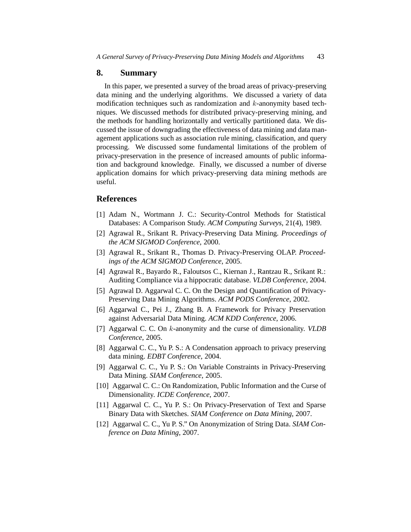#### **8. Summary**

In this paper, we presented a survey of the broad areas of privacy-preserving data mining and the underlying algorithms. We discussed a variety of data modification techniques such as randomization and  $k$ -anonymity based techniques. We discussed methods for distributed privacy-preserving mining, and the methods for handling horizontally and vertically partitioned data. We discussed the issue of downgrading the effectiveness of data mining and data management applications such as association rule mining, classification, and query processing. We discussed some fundamental limitations of the problem of privacy-preservation in the presence of increased amounts of public information and background knowledge. Finally, we discussed a number of diverse application domains for which privacy-preserving data mining methods are useful.

### **References**

- [1] Adam N., Wortmann J. C.: Security-Control Methods for Statistical Databases: A Comparison Study. *ACM Computing Surveys*, 21(4), 1989.
- [2] Agrawal R., Srikant R. Privacy-Preserving Data Mining. *Proceedings of the ACM SIGMOD Conference*, 2000.
- [3] Agrawal R., Srikant R., Thomas D. Privacy-Preserving OLAP. *Proceedings of the ACM SIGMOD Conference*, 2005.
- [4] Agrawal R., Bayardo R., Faloutsos C., Kiernan J., Rantzau R., Srikant R.: Auditing Compliance via a hippocratic database. *VLDB Conference*, 2004.
- [5] Agrawal D. Aggarwal C. C. On the Design and Quantification of Privacy-Preserving Data Mining Algorithms. *ACM PODS Conference*, 2002.
- [6] Aggarwal C., Pei J., Zhang B. A Framework for Privacy Preservation against Adversarial Data Mining. *ACM KDD Conference*, 2006.
- [7] Aggarwal C. C. On k-anonymity and the curse of dimensionality. *VLDB Conference*, 2005.
- [8] Aggarwal C. C., Yu P. S.: A Condensation approach to privacy preserving data mining. *EDBT Conference*, 2004.
- [9] Aggarwal C. C., Yu P. S.: On Variable Constraints in Privacy-Preserving Data Mining. *SIAM Conference*, 2005.
- [10] Aggarwal C. C.: On Randomization, Public Information and the Curse of Dimensionality. *ICDE Conference*, 2007.
- [11] Aggarwal C. C., Yu P. S.: On Privacy-Preservation of Text and Sparse Binary Data with Sketches. *SIAM Conference on Data Mining*, 2007.
- [12] Aggarwal C. C., Yu P. S." On Anonymization of String Data. *SIAM Conference on Data Mining*, 2007.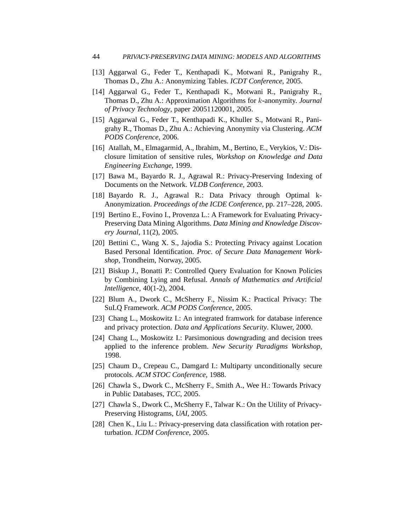- [13] Aggarwal G., Feder T., Kenthapadi K., Motwani R., Panigrahy R., Thomas D., Zhu A.: Anonymizing Tables. *ICDT Conference*, 2005.
- [14] Aggarwal G., Feder T., Kenthapadi K., Motwani R., Panigrahy R., Thomas D., Zhu A.: Approximation Algorithms for k-anonymity. *Journal of Privacy Technology*, paper 20051120001, 2005.
- [15] Aggarwal G., Feder T., Kenthapadi K., Khuller S., Motwani R., Panigrahy R., Thomas D., Zhu A.: Achieving Anonymity via Clustering. *ACM PODS Conference*, 2006.
- [16] Atallah, M., Elmagarmid, A., Ibrahim, M., Bertino, E., Verykios, V.: Disclosure limitation of sensitive rules, *Workshop on Knowledge and Data Engineering Exchange*, 1999.
- [17] Bawa M., Bayardo R. J., Agrawal R.: Privacy-Preserving Indexing of Documents on the Network. *VLDB Conference*, 2003.
- [18] Bayardo R. J., Agrawal R.: Data Privacy through Optimal k-Anonymization. *Proceedings of the ICDE Conference*, pp. 217–228, 2005.
- [19] Bertino E., Fovino I., Provenza L.: A Framework for Evaluating Privacy-Preserving Data Mining Algorithms. *Data Mining and Knowledge Discovery Journal*, 11(2), 2005.
- [20] Bettini C., Wang X. S., Jajodia S.: Protecting Privacy against Location Based Personal Identification. *Proc. of Secure Data Management Workshop*, Trondheim, Norway, 2005.
- [21] Biskup J., Bonatti P.: Controlled Query Evaluation for Known Policies by Combining Lying and Refusal. *Annals of Mathematics and Artificial Intelligence*, 40(1-2), 2004.
- [22] Blum A., Dwork C., McSherry F., Nissim K.: Practical Privacy: The SuLQ Framework. *ACM PODS Conference*, 2005.
- [23] Chang L., Moskowitz I.: An integrated framwork for database inference and privacy protection. *Data and Applications Security*. Kluwer, 2000.
- [24] Chang L., Moskowitz I.: Parsimonious downgrading and decision trees applied to the inference problem. *New Security Paradigms Workshop*, 1998.
- [25] Chaum D., Crepeau C., Damgard I.: Multiparty unconditionally secure protocols. *ACM STOC Conference*, 1988.
- [26] Chawla S., Dwork C., McSherry F., Smith A., Wee H.: Towards Privacy in Public Databases, *TCC*, 2005.
- [27] Chawla S., Dwork C., McSherry F., Talwar K.: On the Utility of Privacy-Preserving Histograms, *UAI*, 2005.
- [28] Chen K., Liu L.: Privacy-preserving data classification with rotation perturbation. *ICDM Conference*, 2005.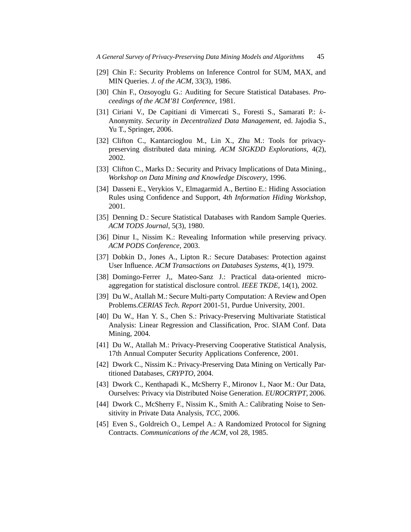- [29] Chin F.: Security Problems on Inference Control for SUM, MAX, and MIN Queries. *J. of the ACM*, 33(3), 1986.
- [30] Chin F., Ozsoyoglu G.: Auditing for Secure Statistical Databases. *Proceedings of the ACM'81 Conference*, 1981.
- [31] Ciriani V., De Capitiani di Vimercati S., Foresti S., Samarati P.: k-Anonymity. *Security in Decentralized Data Management*, ed. Jajodia S., Yu T., Springer, 2006.
- [32] Clifton C., Kantarcioglou M., Lin X., Zhu M.: Tools for privacypreserving distributed data mining. *ACM SIGKDD Explorations*, 4(2), 2002.
- [33] Clifton C., Marks D.: Security and Privacy Implications of Data Mining., *Workshop on Data Mining and Knowledge Discovery*, 1996.
- [34] Dasseni E., Verykios V., Elmagarmid A., Bertino E.: Hiding Association Rules using Confidence and Support, *4th Information Hiding Workshop*, 2001.
- [35] Denning D.: Secure Statistical Databases with Random Sample Queries. *ACM TODS Journal*, 5(3), 1980.
- [36] Dinur I., Nissim K.: Revealing Information while preserving privacy. *ACM PODS Conference*, 2003.
- [37] Dobkin D., Jones A., Lipton R.: Secure Databases: Protection against User Influence. *ACM Transactions on Databases Systems*, 4(1), 1979.
- [38] Domingo-Ferrer J,, Mateo-Sanz J.: Practical data-oriented microaggregation for statistical disclosure control. *IEEE TKDE*, 14(1), 2002.
- [39] Du W., Atallah M.: Secure Multi-party Computation: A Review and Open Problems.*CERIAS Tech. Report* 2001-51, Purdue University, 2001.
- [40] Du W., Han Y. S., Chen S.: Privacy-Preserving Multivariate Statistical Analysis: Linear Regression and Classification, Proc. SIAM Conf. Data Mining, 2004.
- [41] Du W., Atallah M.: Privacy-Preserving Cooperative Statistical Analysis, 17th Annual Computer Security Applications Conference, 2001.
- [42] Dwork C., Nissim K.: Privacy-Preserving Data Mining on Vertically Partitioned Databases, *CRYPTO*, 2004.
- [43] Dwork C., Kenthapadi K., McSherry F., Mironov I., Naor M.: Our Data, Ourselves: Privacy via Distributed Noise Generation. *EUROCRYPT*, 2006.
- [44] Dwork C., McSherry F., Nissim K., Smith A.: Calibrating Noise to Sensitivity in Private Data Analysis, *TCC*, 2006.
- [45] Even S., Goldreich O., Lempel A.: A Randomized Protocol for Signing Contracts. *Communications of the ACM*, vol 28, 1985.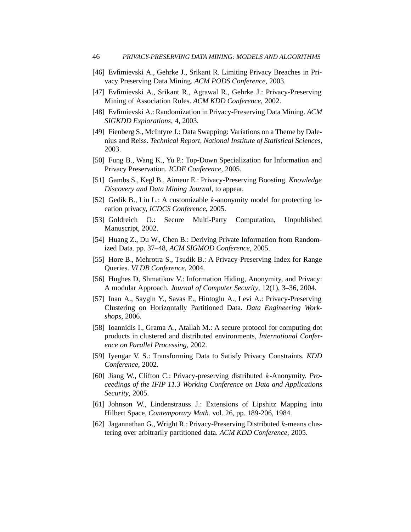- [46] Evfimievski A., Gehrke J., Srikant R. Limiting Privacy Breaches in Privacy Preserving Data Mining. *ACM PODS Conference*, 2003.
- [47] Evfimievski A., Srikant R., Agrawal R., Gehrke J.: Privacy-Preserving Mining of Association Rules. *ACM KDD Conference*, 2002.
- [48] Evfimievski A.: Randomization in Privacy-Preserving Data Mining. *ACM SIGKDD Explorations*, 4, 2003.
- [49] Fienberg S., McIntyre J.: Data Swapping: Variations on a Theme by Dalenius and Reiss. *Technical Report, National Institute of Statistical Sciences*, 2003.
- [50] Fung B., Wang K., Yu P.: Top-Down Specialization for Information and Privacy Preservation. *ICDE Conference*, 2005.
- [51] Gambs S., Kegl B., Aimeur E.: Privacy-Preserving Boosting. *Knowledge Discovery and Data Mining Journal*, to appear.
- [52] Gedik B., Liu L.: A customizable k-anonymity model for protecting location privacy, *ICDCS Conference*, 2005.
- [53] Goldreich O.: Secure Multi-Party Computation, Unpublished Manuscript, 2002.
- [54] Huang Z., Du W., Chen B.: Deriving Private Information from Randomized Data. pp. 37–48, *ACM SIGMOD Conference*, 2005.
- [55] Hore B., Mehrotra S., Tsudik B.: A Privacy-Preserving Index for Range Queries. *VLDB Conference*, 2004.
- [56] Hughes D, Shmatikov V.: Information Hiding, Anonymity, and Privacy: A modular Approach. *Journal of Computer Security*, 12(1), 3–36, 2004.
- [57] Inan A., Saygin Y., Savas E., Hintoglu A., Levi A.: Privacy-Preserving Clustering on Horizontally Partitioned Data. *Data Engineering Workshops*, 2006.
- [58] Ioannidis I., Grama A., Atallah M.: A secure protocol for computing dot products in clustered and distributed environments, *International Conference on Parallel Processing*, 2002.
- [59] Iyengar V. S.: Transforming Data to Satisfy Privacy Constraints. *KDD Conference*, 2002.
- [60] Jiang W., Clifton C.: Privacy-preserving distributed k-Anonymity. *Proceedings of the IFIP 11.3 Working Conference on Data and Applications Security*, 2005.
- [61] Johnson W., Lindenstrauss J.: Extensions of Lipshitz Mapping into Hilbert Space, *Contemporary Math.* vol. 26, pp. 189-206, 1984.
- [62] Jagannathan G., Wright R.: Privacy-Preserving Distributed k-means clustering over arbitrarily partitioned data. *ACM KDD Conference*, 2005.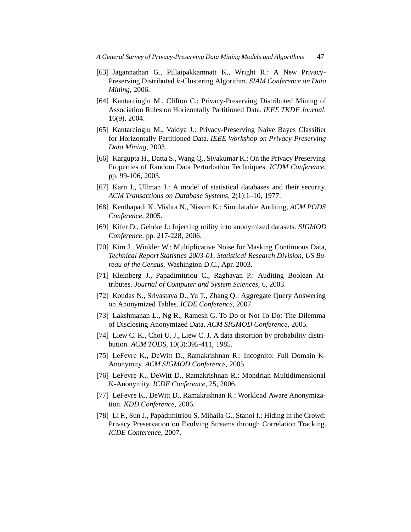- [63] Jagannathan G., Pillaipakkamnatt K., Wright R.: A New Privacy-Preserving Distributed k-Clustering Algorithm. *SIAM Conference on Data Mining*, 2006.
- [64] Kantarcioglu M., Clifton C.: Privacy-Preserving Distributed Mining of Association Rules on Horizontally Partitioned Data. *IEEE TKDE Journal*, 16(9), 2004.
- [65] Kantarcioglu M., Vaidya J.: Privacy-Preserving Naive Bayes Classifier for Horizontally Partitioned Data. *IEEE Workshop on Privacy-Preserving Data Mining*, 2003.
- [66] Kargupta H., Datta S., Wang Q., Sivakumar K.: On the Privacy Preserving Properties of Random Data Perturbation Techniques. *ICDM Conference*, pp. 99-106, 2003.
- [67] Karn J., Ullman J.: A model of statistical databases and their security. *ACM Transactions on Database Systems*, 2(1):1–10, 1977.
- [68] Kenthapadi K.,Mishra N., Nissim K.: Simulatable Auditing, *ACM PODS Conference*, 2005.
- [69] Kifer D., Gehrke J.: Injecting utility into anonymized datasets. *SIGMOD Conference*, pp. 217-228, 2006.
- [70] Kim J., Winkler W.: Multiplicative Noise for Masking Continuous Data, *Technical Report Statistics 2003-01, Statistical Research Division, US Bureau of the Census*, Washington D.C., Apr. 2003.
- [71] Kleinberg J., Papadimitriou C., Raghavan P.: Auditing Boolean Attributes. *Journal of Computer and System Sciences*, 6, 2003.
- [72] Koudas N., Srivastava D., Yu T., Zhang Q.: Aggregate Query Answering on Anonymized Tables. *ICDE Conference*, 2007.
- [73] Lakshmanan L., Ng R., Ramesh G. To Do or Not To Do: The Dilemma of Disclosing Anonymized Data. *ACM SIGMOD Conference*, 2005.
- [74] Liew C. K., Choi U. J., Liew C. J. A data distortion by probability distribution. *ACM TODS*, 10(3):395-411, 1985.
- [75] LeFevre K., DeWitt D., Ramakrishnan R.: Incognito: Full Domain K-Anonymity. *ACM SIGMOD Conference*, 2005.
- [76] LeFevre K., DeWitt D., Ramakrishnan R.: Mondrian Multidimensional K-Anonymity. *ICDE Conference*, 25, 2006.
- [77] LeFevre K., DeWitt D., Ramakrishnan R.: Workload Aware Anonymization. *KDD Conference*, 2006.
- [78] Li F., Sun J., Papadimitriou S. Mihaila G., Stanoi I.: Hiding in the Crowd: Privacy Preservation on Evolving Streams through Correlation Tracking. *ICDE Conference*, 2007.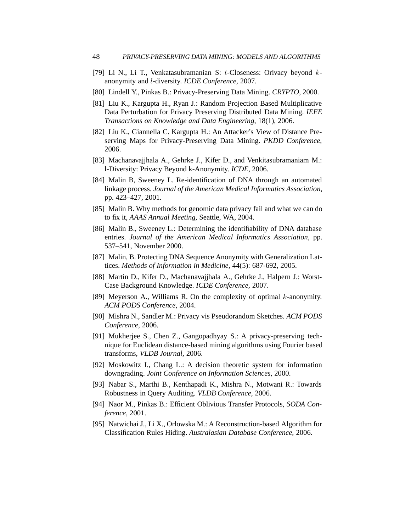- [79] Li N., Li T., Venkatasubramanian S:  $t$ -Closeness: Orivacy beyond  $k$ anonymity and l-diversity. *ICDE Conference*, 2007.
- [80] Lindell Y., Pinkas B.: Privacy-Preserving Data Mining. *CRYPTO*, 2000.
- [81] Liu K., Kargupta H., Ryan J.: Random Projection Based Multiplicative Data Perturbation for Privacy Preserving Distributed Data Mining. *IEEE Transactions on Knowledge and Data Engineering*, 18(1), 2006.
- [82] Liu K., Giannella C. Kargupta H.: An Attacker's View of Distance Preserving Maps for Privacy-Preserving Data Mining. *PKDD Conference*, 2006.
- [83] Machanavajjhala A., Gehrke J., Kifer D., and Venkitasubramaniam M.: l-Diversity: Privacy Beyond k-Anonymity. *ICDE*, 2006.
- [84] Malin B, Sweeney L. Re-identification of DNA through an automated linkage process. *Journal of the American Medical Informatics Association*, pp. 423–427, 2001.
- [85] Malin B. Why methods for genomic data privacy fail and what we can do to fix it, *AAAS Annual Meeting*, Seattle, WA, 2004.
- [86] Malin B., Sweeney L.: Determining the identifiability of DNA database entries. *Journal of the American Medical Informatics Association*, pp. 537–541, November 2000.
- [87] Malin, B. Protecting DNA Sequence Anonymity with Generalization Lattices. *Methods of Information in Medicine*, 44(5): 687-692, 2005.
- [88] Martin D., Kifer D., Machanavajjhala A., Gehrke J., Halpern J.: Worst-Case Background Knowledge. *ICDE Conference*, 2007.
- [89] Meyerson A., Williams R. On the complexity of optimal  $k$ -anonymity. *ACM PODS Conference*, 2004.
- [90] Mishra N., Sandler M.: Privacy vis Pseudorandom Sketches. *ACM PODS Conference*, 2006.
- [91] Mukherjee S., Chen Z., Gangopadhyay S.: A privacy-preserving technique for Euclidean distance-based mining algorithms using Fourier based transforms, *VLDB Journal*, 2006.
- [92] Moskowitz I., Chang L.: A decision theoretic system for information downgrading. *Joint Conference on Information Sciences*, 2000.
- [93] Nabar S., Marthi B., Kenthapadi K., Mishra N., Motwani R.: Towards Robustness in Query Auditing. *VLDB Conference*, 2006.
- [94] Naor M., Pinkas B.: Efficient Oblivious Transfer Protocols, *SODA Conference*, 2001.
- [95] Natwichai J., Li X., Orlowska M.: A Reconstruction-based Algorithm for Classification Rules Hiding. *Australasian Database Conference*, 2006.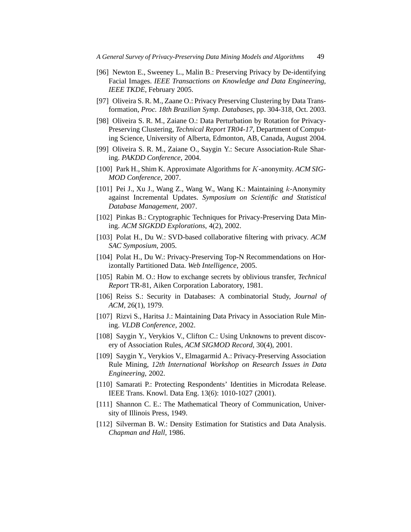- [96] Newton E., Sweeney L., Malin B.: Preserving Privacy by De-identifying Facial Images. *IEEE Transactions on Knowledge and Data Engineering, IEEE TKDE*, February 2005.
- [97] Oliveira S. R. M., Zaane O.: Privacy Preserving Clustering by Data Transformation, *Proc. 18th Brazilian Symp. Databases*, pp. 304-318, Oct. 2003.
- [98] Oliveira S. R. M., Zaiane O.: Data Perturbation by Rotation for Privacy-Preserving Clustering, *Technical Report TR04-17*, Department of Computing Science, University of Alberta, Edmonton, AB, Canada, August 2004.
- [99] Oliveira S. R. M., Zaiane O., Saygin Y.: Secure Association-Rule Sharing. *PAKDD Conference*, 2004.
- [100] Park H., Shim K. Approximate Algorithms for K-anonymity. *ACM SIG-MOD Conference*, 2007.
- [101] Pei J., Xu J., Wang Z., Wang W., Wang K.: Maintaining k-Anonymity against Incremental Updates. *Symposium on Scientific and Statistical Database Management*, 2007.
- [102] Pinkas B.: Cryptographic Techniques for Privacy-Preserving Data Mining. *ACM SIGKDD Explorations*, 4(2), 2002.
- [103] Polat H., Du W.: SVD-based collaborative filtering with privacy. *ACM SAC Symposium*, 2005.
- [104] Polat H., Du W.: Privacy-Preserving Top-N Recommendations on Horizontally Partitioned Data. *Web Intelligence*, 2005.
- [105] Rabin M. O.: How to exchange secrets by oblivious transfer, *Technical Report* TR-81, Aiken Corporation Laboratory, 1981.
- [106] Reiss S.: Security in Databases: A combinatorial Study, *Journal of ACM*, 26(1), 1979.
- [107] Rizvi S., Haritsa J.: Maintaining Data Privacy in Association Rule Mining. *VLDB Conference*, 2002.
- [108] Saygin Y., Verykios V., Clifton C.: Using Unknowns to prevent discovery of Association Rules, *ACM SIGMOD Record*, 30(4), 2001.
- [109] Saygin Y., Verykios V., Elmagarmid A.: Privacy-Preserving Association Rule Mining, *12th International Workshop on Research Issues in Data Engineering*, 2002.
- [110] Samarati P.: Protecting Respondents' Identities in Microdata Release. IEEE Trans. Knowl. Data Eng. 13(6): 1010-1027 (2001).
- [111] Shannon C. E.: The Mathematical Theory of Communication, University of Illinois Press, 1949.
- [112] Silverman B. W.: Density Estimation for Statistics and Data Analysis. *Chapman and Hall*, 1986.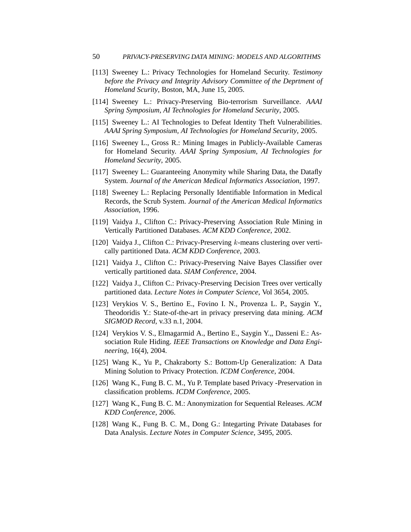- [113] Sweeney L.: Privacy Technologies for Homeland Security. *Testimony before the Privacy and Integrity Advisory Committee of the Deprtment of Homeland Scurity*, Boston, MA, June 15, 2005.
- [114] Sweeney L.: Privacy-Preserving Bio-terrorism Surveillance. *AAAI Spring Symposium, AI Technologies for Homeland Security*, 2005.
- [115] Sweeney L.: AI Technologies to Defeat Identity Theft Vulnerabilities. *AAAI Spring Symposium, AI Technologies for Homeland Security*, 2005.
- [116] Sweeney L., Gross R.: Mining Images in Publicly-Available Cameras for Homeland Security. *AAAI Spring Symposium, AI Technologies for Homeland Security*, 2005.
- [117] Sweeney L.: Guaranteeing Anonymity while Sharing Data, the Datafly System. *Journal of the American Medical Informatics Association*, 1997.
- [118] Sweeney L.: Replacing Personally Identifiable Information in Medical Records, the Scrub System. *Journal of the American Medical Informatics Association*, 1996.
- [119] Vaidya J., Clifton C.: Privacy-Preserving Association Rule Mining in Vertically Partitioned Databases. *ACM KDD Conference*, 2002.
- [120] Vaidya J., Clifton C.: Privacy-Preserving k-means clustering over vertically partitioned Data. *ACM KDD Conference*, 2003.
- [121] Vaidya J., Clifton C.: Privacy-Preserving Naive Bayes Classifier over vertically partitioned data. *SIAM Conference*, 2004.
- [122] Vaidya J., Clifton C.: Privacy-Preserving Decision Trees over vertically partitioned data. *Lecture Notes in Computer Science*, Vol 3654, 2005.
- [123] Verykios V. S., Bertino E., Fovino I. N., Provenza L. P., Saygin Y., Theodoridis Y.: State-of-the-art in privacy preserving data mining. *ACM SIGMOD Record*, v.33 n.1, 2004.
- [124] Verykios V. S., Elmagarmid A., Bertino E., Saygin Y.,, Dasseni E.: Association Rule Hiding. *IEEE Transactions on Knowledge and Data Engineering*, 16(4), 2004.
- [125] Wang K., Yu P., Chakraborty S.: Bottom-Up Generalization: A Data Mining Solution to Privacy Protection. *ICDM Conference*, 2004.
- [126] Wang K., Fung B. C. M., Yu P. Template based Privacy -Preservation in classification problems. *ICDM Conference*, 2005.
- [127] Wang K., Fung B. C. M.: Anonymization for Sequential Releases. *ACM KDD Conference*, 2006.
- [128] Wang K., Fung B. C. M., Dong G.: Integarting Private Databases for Data Analysis. *Lecture Notes in Computer Science*, 3495, 2005.